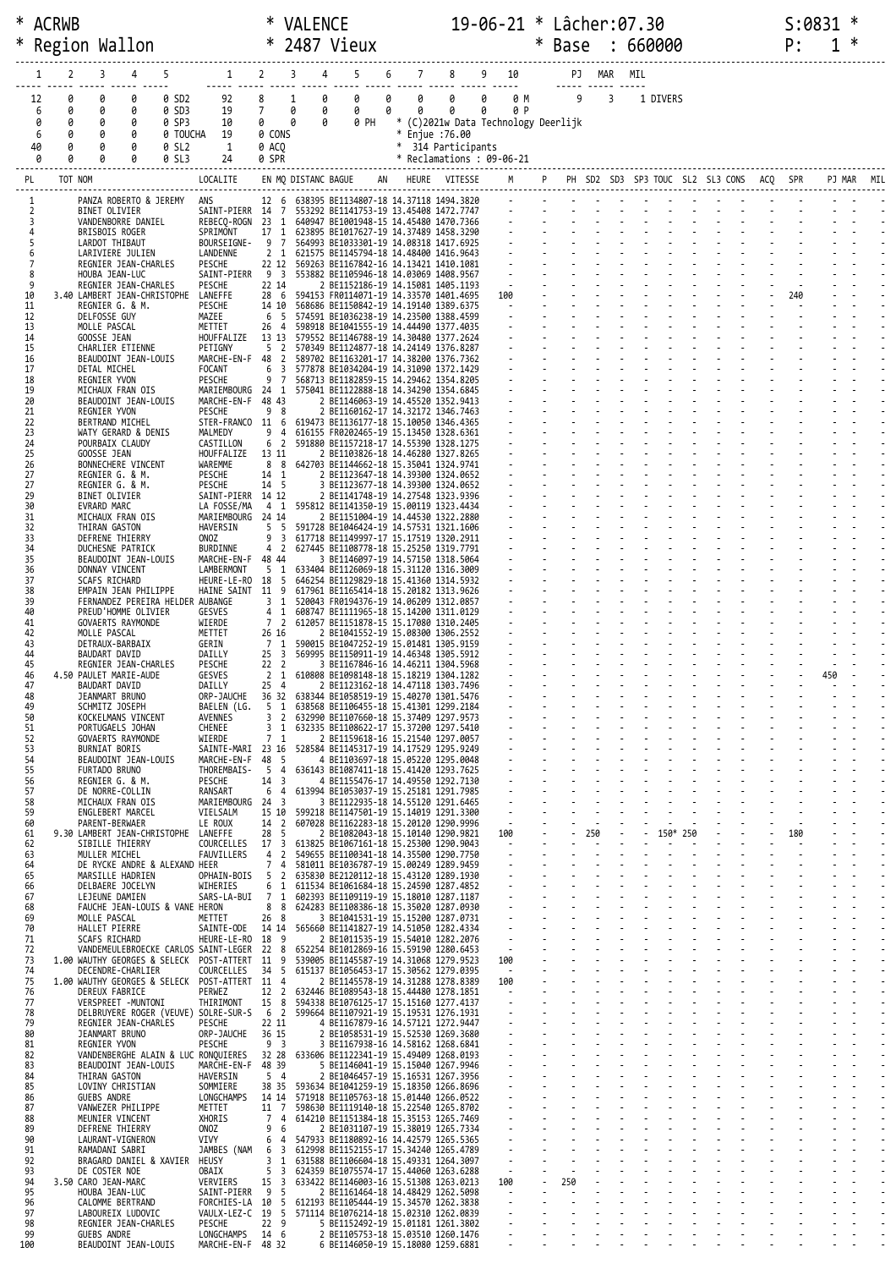|     |          | * ACRWB        |                                                         |                   |                                                                                                                                                                                                                                        |                                     | <b>VALENCE</b>    |                                                                                          |   |   |                                            | 19-06-21 * Lâcher:07.30 |                          |        |                                            |     |                |          |  |  | S:0831 |     |            |  |
|-----|----------|----------------|---------------------------------------------------------|-------------------|----------------------------------------------------------------------------------------------------------------------------------------------------------------------------------------------------------------------------------------|-------------------------------------|-------------------|------------------------------------------------------------------------------------------|---|---|--------------------------------------------|-------------------------|--------------------------|--------|--------------------------------------------|-----|----------------|----------|--|--|--------|-----|------------|--|
| ∗   |          |                | Region Wallon                                           |                   |                                                                                                                                                                                                                                        | $\ast$                              |                   | 2487 Vieux                                                                               |   |   |                                            |                         |                          | $\ast$ | Base : 660000                              |     |                |          |  |  | P:     |     |            |  |
|     | 1        | $\overline{2}$ | 3<br>4                                                  | 5                 |                                                                                                                                                                                                                                        | $1 \quad 2 \quad 3$                 |                   | $4 \quad$<br>5                                                                           | 6 |   | $7$ $8$ $9$ $10$<br>----- ----- ----- ---- |                         |                          |        |                                            |     | PJ MAR MIL     |          |  |  |        |     |            |  |
|     | 12       | 0              | 0<br>0                                                  | 0 SD2             | 92                                                                                                                                                                                                                                     | 8                                   | $\mathbf{1}$<br>0 | 0                                                                                        | 0 | 0 | 0                                          | 0                       | 0 M                      |        | $\overline{9}$                             |     | $\overline{3}$ | 1 DIVERS |  |  |        |     |            |  |
|     | 6<br>0   | 0<br>0         | 0<br>0<br>0<br>0                                        | 0 SD3<br>0 SP3    | 19<br>10                                                                                                                                                                                                                               | $7^{\circ}$<br>$\theta$             | 0<br>0<br>0       | $\theta$<br>0<br>0 PH                                                                    |   | 0 | 0<br>* (C)2021w Data Technology Deerlijk   | 0                       | 0 P                      |        |                                            |     |                |          |  |  |        |     |            |  |
|     | 6<br>40  | 0<br>0         | 0<br>0<br>0<br>0                                        | 0 TOUCHA<br>0 SL2 | 19<br>1                                                                                                                                                                                                                                | 0 ACO                               | 0 CONS            |                                                                                          |   |   | * Enjue :76.00<br>* 314 Participants       |                         |                          |        |                                            |     |                |          |  |  |        |     |            |  |
|     | Ø        | 0              | 0<br>0                                                  | 0 SL3             | 24                                                                                                                                                                                                                                     | 0 SPR                               |                   |                                                                                          |   |   | * Reclamations: 09-06-21                   |                         |                          |        |                                            |     |                |          |  |  |        |     |            |  |
|     | PL       | TOT NOM        |                                                         |                   | LOCALITE                                                                                                                                                                                                                               |                                     |                   | EN MQ DISTANC BAGUE AN HEURE VITESSE                                                     |   |   |                                            |                         | M                        |        | P PH SD2 SD3 SP3 TOUC SL2 SL3 CONS ACQ SPR |     |                |          |  |  |        |     | PJ MAR MIL |  |
|     | 1<br>2   |                | PANZA ROBERTO & JEREMY<br>BINET OLIVIER                 |                   | ANS                                                                                                                                                                                                                                    |                                     |                   | 12 6 638395 BE1134807-18 14.37118 1494.3820                                              |   |   |                                            |                         |                          |        |                                            |     |                |          |  |  |        |     |            |  |
|     | 3<br>4   |                | VANDENBORRE DANIEL<br>BRISBOIS ROGER                    |                   | 475<br>SAINT-PIERR 14 7 553292 BE1141753-19 13.45408 1472.7747<br>REBECQ-ROGN 23 1 640947 BE1001948-15 14.45480 1470.7366<br>SPRIMONT 17 1 623895 BE1017627-19 14.37489 1458.3290<br>BOURSEIGNE- 9 7 564993 BE1033301-19 14.08318 1417 |                                     |                   |                                                                                          |   |   |                                            |                         |                          |        |                                            |     |                |          |  |  |        |     |            |  |
|     | 5<br>6   |                | LARDOT THIBAUT<br>LARIVIERE JULIEN                      |                   | LANDENNE                                                                                                                                                                                                                               |                                     |                   | 2 1 621575 BE1145794-18 14.48400 1416.9643                                               |   |   |                                            |                         |                          |        |                                            |     |                |          |  |  |        |     |            |  |
|     | 7<br>8   |                | REGNIER JEAN-CHARLES<br>HOUBA JEAN-LUC                  |                   | PESCHE<br>SAINT-PIERR 9 3 553882 BE1105946-18 14.03069 1408.9567                                                                                                                                                                       |                                     |                   | 22 12 569263 BE1167842-16 14.13421 1410.1081                                             |   |   |                                            |                         |                          |        |                                            |     |                |          |  |  |        |     |            |  |
|     | 9<br>10  |                | REGNIER JEAN-CHARLES<br>3.40 LAMBERT JEAN-CHRISTOPHE    |                   | PESCHE<br>LANEFFE                                                                                                                                                                                                                      | 22 14                               |                   | 2 BE1152186-19 14.15081 1405.1193<br>28 6 594153 FR0114071-19 14.33570 1401.4695         |   |   |                                            |                         | 100                      |        |                                            |     |                |          |  |  | 240    |     |            |  |
|     | 11<br>12 |                | REGNIER G. & M.<br>DELFOSSE GUY                         |                   | PESCHE<br>MAZEE                                                                                                                                                                                                                        | 6 5                                 |                   | 14 10 568686 BE1150842-19 14.19140 1389.6375<br>574591 BE1036238-19 14.23500 1388.4599   |   |   |                                            |                         | <b>Contract Contract</b> |        |                                            |     |                |          |  |  |        |     |            |  |
|     | 13<br>14 |                | MOLLE PASCAL<br>GOOSSE JEAN                             |                   | METTET<br>HOUFFALIZE                                                                                                                                                                                                                   | 26 4                                |                   | 598918 BE1041555-19 14.44490 1377.4035<br>13 13 579552 BE1146788-19 14.30480 1377.2624   |   |   |                                            |                         |                          |        |                                            |     |                |          |  |  |        |     |            |  |
|     | 15<br>16 |                | CHARLIER ETIENNE<br>BEAUDOINT JEAN-LOUIS                |                   | PETIGNY<br>MARCHE-EN-F 48 2 589702 BE1163201-17 14.38200 1376.7362                                                                                                                                                                     | 5 <sub>2</sub>                      |                   | 570349 BE1124877-18 14.24149 1376.8287                                                   |   |   |                                            |                         |                          |        |                                            |     |                |          |  |  |        |     |            |  |
|     | 17<br>18 |                | DETAL MICHEL<br>REGNIER YVON                            |                   | FOCANT<br>PESCHE                                                                                                                                                                                                                       | 6                                   |                   | 3 577878 BE1034204-19 14.31090 1372.1429<br>9 7 568713 BE1182859-15 14.29462 1354.8205   |   |   |                                            |                         |                          |        |                                            |     |                |          |  |  |        |     |            |  |
|     | 19<br>20 |                | MICHAUX FRAN OIS<br>BEAUDOINT JEAN-LOUIS                |                   | MARIEMBOURG 24 1<br>MARCHE-EN-F 48 43                                                                                                                                                                                                  |                                     |                   | 575041 BE1122888-18 14.34290 1354.6845<br>2 BE1146063-19 14.45520 1352.9413              |   |   |                                            |                         |                          |        |                                            |     |                |          |  |  |        |     |            |  |
|     | 21<br>22 |                | REGNIER YVON<br>BERTRAND MICHEL                         |                   | PESCHE<br>STER-FRANCO 11 6 619473 BE1136177-18 15.10050 1346.4365                                                                                                                                                                      | 98                                  |                   | 2 BE1160162-17 14.32172 1346.7463                                                        |   |   |                                            |                         |                          |        |                                            |     |                |          |  |  |        |     |            |  |
|     | 23<br>24 |                | WATY GERARD & DENIS<br>POURBAIX CLAUDY                  |                   | MALMEDY<br>CASTILLON                                                                                                                                                                                                                   |                                     |                   | 9 4 616155 FR0202465-19 15.13450 1328.6361<br>6 2 591880 BE1157218-17 14.55390 1328.1275 |   |   |                                            |                         |                          |        |                                            |     |                |          |  |  |        |     |            |  |
|     | 25<br>26 |                | GOOSSE JEAN<br>BONNECHERE VINCENT                       |                   | HOUFFALIZE<br>WAREMME                                                                                                                                                                                                                  | 13 11                               |                   | 2 BE1103826-18 14.46280 1327.8265<br>8 8 642703 BE1144662-18 15.35041 1324.9741          |   |   |                                            |                         |                          |        |                                            |     |                |          |  |  |        |     |            |  |
|     | 27<br>27 |                | REGNIER G. & M.<br>REGNIER G. & M.                      |                   | PESCHE<br>PESCHE                                                                                                                                                                                                                       | 14 1<br>14 5                        |                   | 2 BE1123647-18 14.39300 1324.0652<br>3 BE1123677-18 14.39300 1324.0652                   |   |   |                                            |                         |                          |        |                                            |     |                |          |  |  |        |     |            |  |
|     | 29<br>30 |                | BINET OLIVIER<br>EVRARD MARC                            |                   | SAINT-PIERR 14 12<br>LA FOSSE/MA                                                                                                                                                                                                       |                                     |                   | 2 BE1141748-19 14.27548 1323.9396<br>4 1 595812 BE1141350-19 15.00119 1323.4434          |   |   |                                            |                         |                          |        |                                            |     |                |          |  |  |        |     |            |  |
|     | 31<br>32 |                | MICHAUX FRAN OIS<br>THIRAN GASTON                       |                   | MARIEMBOURG 24 14<br>HAVERSIN                                                                                                                                                                                                          | 5 <sub>5</sub>                      |                   | 2 BE1151004-19 14.44530 1322.2880<br>591728 BE1046424-19 14.57531 1321.1606              |   |   |                                            |                         |                          |        |                                            |     |                |          |  |  |        |     |            |  |
|     | 33<br>34 |                | DEFRENE THIERRY<br>DUCHESNE PATRICK                     |                   | ONOZ<br>BURDINNE                                                                                                                                                                                                                       | 9<br>$\overline{\mathbf{3}}$<br>4 2 |                   | 617718 BE1149997-17 15.17519 1320.2911<br>627445 BE1108778-18 15.25250 1319.7791         |   |   |                                            |                         |                          |        |                                            |     |                |          |  |  |        |     |            |  |
|     | 35<br>36 |                | BEAUDOINT JEAN-LOUIS<br>DONNAY VINCENT                  |                   | MARCHE-EN-F 48 44<br>LAMBERMONT                                                                                                                                                                                                        | 5 1                                 |                   | 3 BE1146097-19 14.57150 1318.5064<br>633404 BE1126069-18 15.31120 1316.3009              |   |   |                                            |                         |                          |        |                                            |     |                |          |  |  |        |     |            |  |
|     | 37<br>38 |                | SCAFS RICHARD<br>EMPAIN JEAN PHILIPPE                   |                   | HEURE-LE-RO 18 5<br>HAINE SAINT 11 9                                                                                                                                                                                                   |                                     |                   | 646254 BE1129829-18 15.41360 1314.5932<br>617961 BE1165414-18 15.20182 1313.9626         |   |   |                                            |                         |                          |        |                                            |     |                |          |  |  |        |     |            |  |
|     | 39<br>40 |                | FERNANDEZ PEREIRA HELDER AUBANGE<br>PREUD'HOMME OLIVIER |                   | GESVES                                                                                                                                                                                                                                 | 3 <sub>1</sub><br>1<br>4            |                   | 520043 FR0194376-19 14.06209 1312.0857<br>608747 BE1111965-18 15.14200 1311.0129         |   |   |                                            |                         |                          |        |                                            |     |                |          |  |  |        |     |            |  |
|     | 41<br>42 |                | GOVAERTS RAYMONDE<br>MOLLE PASCAL                       |                   | WIERDE<br>METTET                                                                                                                                                                                                                       | 26 16                               |                   | 7 2 612057 BE1151878-15 15.17080 1310.2405<br>2 BE1041552-19 15.08300 1306.2552          |   |   |                                            |                         |                          |        |                                            |     |                |          |  |  |        |     |            |  |
|     | 43<br>44 |                | DETRAUX-BARBAIX<br>BAUDART DAVID                        |                   | GERIN<br>DAILLY                                                                                                                                                                                                                        | 7 1                                 |                   | 590015 BE1047252-19 15.01481 1305.9159<br>25 3 569995 BE1150911-19 14.46348 1305.5912    |   |   |                                            |                         |                          |        |                                            |     |                |          |  |  |        |     |            |  |
|     | 45<br>46 |                | REGNIER JEAN-CHARLES<br>4.50 PAULET MARIE-AUDE          |                   | PESCHE<br><b>GESVES</b>                                                                                                                                                                                                                | 22 <sub>2</sub>                     |                   | 3 BE1167846-16 14.46211 1304.5968<br>2 1 610808 BE1098148-18 15.18219 1304.1282          |   |   |                                            |                         |                          |        |                                            |     |                |          |  |  |        | 450 |            |  |
|     | 47<br>48 |                | BAUDART DAVID<br>JEANMART BRUNO                         |                   | DAILLY<br>ORP-JAUCHE                                                                                                                                                                                                                   | 25 4                                |                   | 2 BE1123162-18 14.47118 1303.7496<br>36 32 638344 BE1058519-19 15.40270 1301.5476        |   |   |                                            |                         |                          |        |                                            |     |                |          |  |  |        |     |            |  |
|     | 49<br>50 |                | SCHMITZ JOSEPH<br>KOCKELMANS VINCENT                    |                   | BAELEN (LG.<br>AVENNES                                                                                                                                                                                                                 |                                     |                   | 5 1 638568 BE1106455-18 15.41301 1299.2184<br>3 2 632990 BE1107660-18 15.37409 1297.9573 |   |   |                                            |                         |                          |        |                                            |     |                |          |  |  |        |     |            |  |
|     | 51<br>52 |                | PORTUGAELS JOHAN<br>GOVAERTS RAYMONDE                   |                   | CHENEE<br>WIERDE                                                                                                                                                                                                                       | 3 1<br>7 <sub>1</sub>               |                   | 632335 BE1108622-17 15.37200 1297.5410<br>2 BE1159618-16 15.21540 1297.0057              |   |   |                                            |                         |                          |        |                                            |     |                |          |  |  |        |     |            |  |
|     | 53<br>54 |                | <b>BURNIAT BORIS</b><br>BEAUDOINT JEAN-LOUIS            |                   | SAINTE-MARI 23 16 528584 BE1145317-19 14.17529 1295.9249<br>MARCHE-EN-F 48 5                                                                                                                                                           |                                     |                   | 4 BE1103697-18 15.05220 1295.0048                                                        |   |   |                                            |                         |                          |        |                                            |     |                |          |  |  |        |     |            |  |
|     | 55<br>56 |                | FURTADO BRUNO<br>REGNIER G. & M.                        |                   | THOREMBAIS- 5 4 636143 BE1087411-18 15.41420 1293.7625<br>PESCHE                                                                                                                                                                       | 14 3                                |                   | 4 BE1155476-17 14.49550 1292.7130                                                        |   |   |                                            |                         |                          |        |                                            |     |                |          |  |  |        |     |            |  |
|     | 57<br>58 |                | DE NORRE-COLLIN<br>MICHAUX FRAN OIS                     |                   | RANSART<br>MARIEMBOURG 24 3                                                                                                                                                                                                            |                                     |                   | 6 4 613994 BE1053037-19 15.25181 1291.7985<br>3 BE1122935-18 14.55120 1291.6465          |   |   |                                            |                         | $\sim$                   |        |                                            |     |                |          |  |  |        |     |            |  |
|     | 59<br>60 |                | ENGLEBERT MARCEL<br>PARENT-BERWAER                      |                   | VIELSALM<br>LE ROUX                                                                                                                                                                                                                    | 14 2                                |                   | 15 10 599218 BE1147501-19 15.14019 1291.3300<br>607028 BE1162283-18 15.20120 1290.9996   |   |   |                                            |                         | $\sim$                   |        |                                            |     |                |          |  |  |        |     |            |  |
|     | 61<br>62 |                | 9.30 LAMBERT JEAN-CHRISTOPHE<br>SIBILLE THIERRY         |                   | LANEFFE<br>COURCELLES                                                                                                                                                                                                                  | 28 5                                |                   | 2 BE1082043-18 15.10140 1290.9821<br>17 3 613825 BE1067161-18 15.25300 1290.9043         |   |   |                                            | 100                     |                          |        |                                            | 250 |                | 150* 250 |  |  | 180    |     |            |  |
|     | 63<br>64 |                | MULLER MICHEL<br>DE RYCKE ANDRE & ALEXAND HEER          |                   | FAUVILLERS                                                                                                                                                                                                                             |                                     |                   | 4 2 549655 BE1100341-18 14.35500 1290.7750<br>7 4 581011 BE1036787-19 15.00249 1289.9459 |   |   |                                            |                         |                          |        |                                            |     |                |          |  |  |        |     |            |  |
|     | 65<br>66 |                | MARSILLE HADRIEN<br>DELBAERE JOCELYN                    |                   | OPHAIN-BOIS<br>WIHERIES                                                                                                                                                                                                                |                                     |                   | 5 2 635830 BE2120112-18 15.43120 1289.1930<br>6 1 611534 BE1061684-18 15.24590 1287.4852 |   |   |                                            |                         | $\overline{\phantom{a}}$ |        |                                            |     |                |          |  |  |        |     |            |  |
|     | 67<br>68 |                | LEJEUNE DAMIEN<br>FAUCHE JEAN-LOUIS & VANE HERON        |                   | SARS-LA-BUI 7 1                                                                                                                                                                                                                        |                                     |                   | 602393 BE1109119-19 15.18010 1287.1187<br>8 8 624283 BE1108386-18 15.35020 1287.0930     |   |   |                                            |                         |                          |        |                                            |     |                |          |  |  |        |     |            |  |
|     | 69<br>70 |                | MOLLE PASCAL<br>HALLET PIERRE                           |                   | METTET<br>SAINTE-ODE 14 14 565660 BE1141827-19 14.51050 1282.4334                                                                                                                                                                      | 26 8                                |                   | 3 BE1041531-19 15.15200 1287.0731                                                        |   |   |                                            |                         | $\sim$                   |        |                                            |     |                |          |  |  |        |     |            |  |
|     | 71<br>72 |                | SCAFS RICHARD                                           |                   | HEURE-LE-RO 18 9<br>VANDEMEULEBROECKE CARLOS SAINT-LEGER 22 8 652254 BE1012869-16 15.59190 1280.6453                                                                                                                                   |                                     |                   | 2 BE1011535-19 15.54010 1282.2076                                                        |   |   |                                            |                         | $\blacksquare$<br>$\sim$ |        |                                            |     |                |          |  |  |        |     |            |  |
|     | 73<br>74 |                | DECENDRE-CHARLIER                                       |                   | 1.00 WAUTHY GEORGES & SELECK POST-ATTERT 11 9<br>COURCELLES                                                                                                                                                                            |                                     |                   | 539005 BE1145587-19 14.31068 1279.9523<br>34 5 615137 BE1056453-17 15.30562 1279.0395    |   |   |                                            | 100                     | $\sim$                   |        |                                            |     |                |          |  |  |        |     |            |  |
|     | 75<br>76 |                | DEREUX FABRICE                                          |                   | 1.00 WAUTHY GEORGES & SELECK POST-ATTERT 11 4<br>PERWEZ                                                                                                                                                                                |                                     |                   | 2 BE1145578-19 14.31288 1278.8389<br>12 2 632446 BE1089543-18 15.44480 1278.1851         |   |   |                                            | 100                     | $\sim$                   |        |                                            |     |                |          |  |  |        |     |            |  |
|     | 77<br>78 |                | VERSPREET -MUNTONI                                      |                   | THIRIMONT<br>DELBRUYERE ROGER (VEUVE) SOLRE-SUR-S 6 2 599664 BE1107921-19 15.19531 1276.1931                                                                                                                                           |                                     |                   | 15 8 594338 BE1076125-17 15.15160 1277.4137                                              |   |   |                                            |                         |                          |        |                                            |     |                |          |  |  |        |     |            |  |
|     | 79<br>80 |                | REGNIER JEAN-CHARLES<br>JEANMART BRUNO                  |                   | PESCHE<br>ORP-JAUCHE                                                                                                                                                                                                                   | 22 11<br>36 15                      |                   | 4 BE1167879-16 14.57121 1272.9447<br>2 BE1058531-19 15.52530 1269.3680                   |   |   |                                            |                         |                          |        |                                            |     |                |          |  |  |        |     |            |  |
|     | 81<br>82 |                | REGNIER YVON                                            |                   | PESCHE<br>VANDENBERGHE ALAIN & LUC RONQUIERES                                                                                                                                                                                          | 9 <sub>3</sub>                      |                   | 3 BE1167938-16 14.58162 1268.6841<br>32 28 633606 BE1122341-19 15.49409 1268.0193        |   |   |                                            |                         | $\blacksquare$           |        |                                            |     |                |          |  |  |        |     |            |  |
|     | 83<br>84 |                | BEAUDOINT JEAN-LOUIS<br>THIRAN GASTON                   |                   | MARCHE-EN-F 48 39<br>HAVERSIN                                                                                                                                                                                                          | 5 4                                 |                   | 5 BE1146041-19 15.15040 1267.9946<br>2 BE1046457-19 15.16531 1267.3956                   |   |   |                                            |                         |                          |        |                                            |     |                |          |  |  |        |     |            |  |
|     | 85<br>86 |                | LOVINY CHRISTIAN<br>GUEBS ANDRE                         |                   | SOMMIERE<br>LONGCHAMPS                                                                                                                                                                                                                 | 14 14                               |                   | 38 35 593634 BE1041259-19 15.18350 1266.8696<br>571918 BE1105763-18 15.01440 1266.0522   |   |   |                                            |                         |                          |        |                                            |     |                |          |  |  |        |     |            |  |
|     | 87<br>88 |                | VANWEZER PHILIPPE<br>MEUNIER VINCENT                    |                   | METTET<br>XHORIS                                                                                                                                                                                                                       | 11 7<br>$\overline{7}$<br>4         |                   | 598630 BE1119140-18 15.22540 1265.8702<br>614210 BE1151384-18 15.35153 1265.7469         |   |   |                                            |                         |                          |        |                                            |     |                |          |  |  |        |     |            |  |
|     | 89<br>90 |                | DEFRENE THIERRY<br>LAURANT-VIGNERON                     |                   | ONOZ<br>VIVY                                                                                                                                                                                                                           | 9 6<br>6 4                          |                   | 2 BE1031107-19 15.38019 1265.7334<br>547933 BE1180892-16 14.42579 1265.5365              |   |   |                                            |                         | $\blacksquare$           |        |                                            |     |                |          |  |  |        |     |            |  |
|     | 91<br>92 |                | RAMADANI SABRI<br>BRAGARD DANIEL & XAVIER               |                   | JAMBES (NAM<br>HEUSY                                                                                                                                                                                                                   | 6<br>$\overline{\mathbf{3}}$<br>3 1 |                   | 612998 BE1152155-17 15.34240 1265.4789<br>631588 BE1106604-18 15.49331 1264.3097         |   |   |                                            |                         |                          |        |                                            |     |                |          |  |  |        |     |            |  |
|     | 93<br>94 |                | DE COSTER NOE<br>3.50 CARO JEAN-MARC                    |                   | OBAIX<br>VERVIERS                                                                                                                                                                                                                      | 5 <sup>3</sup><br>15 <sup>3</sup>   |                   | 624359 BE1075574-17 15.44060 1263.6288<br>633422 BE1146003-16 15.51308 1263.0213         |   |   |                                            | 100                     | $\blacksquare$           |        | 250                                        |     |                |          |  |  |        |     |            |  |
|     | 95<br>96 |                | HOUBA JEAN-LUC<br>CALOMME BERTRAND                      |                   | SAINT-PIERR 9 5<br>FORCHIES-LA 10 5 612193 BE1105444-19 15.34570 1262.3838                                                                                                                                                             |                                     |                   | 2 BE1161464-18 14.48429 1262.5098                                                        |   |   |                                            |                         | $\sim$                   |        |                                            |     |                |          |  |  |        |     |            |  |
|     | 97<br>98 |                | LABOUREIX LUDOVIC<br>REGNIER JEAN-CHARLES               |                   | VAULX-LEZ-C 19 5<br>PESCHE                                                                                                                                                                                                             | 229                                 |                   | 571114 BE1076214-18 15.02310 1262.0839<br>5 BE1152492-19 15.01181 1261.3802              |   |   |                                            |                         |                          |        |                                            |     |                |          |  |  |        |     |            |  |
| 100 | 99       |                | <b>GUEBS ANDRE</b><br>BEAUDOINT JEAN-LOUIS              |                   | LONGCHAMPS<br>MARCHE-EN-F 48 32                                                                                                                                                                                                        | 14 6                                |                   | 2 BE1105753-18 15.03510 1260.1476<br>6 BE1146050-19 15.18080 1259.6881                   |   |   |                                            |                         | $\bar{\phantom{a}}$      |        |                                            |     |                |          |  |  |        |     |            |  |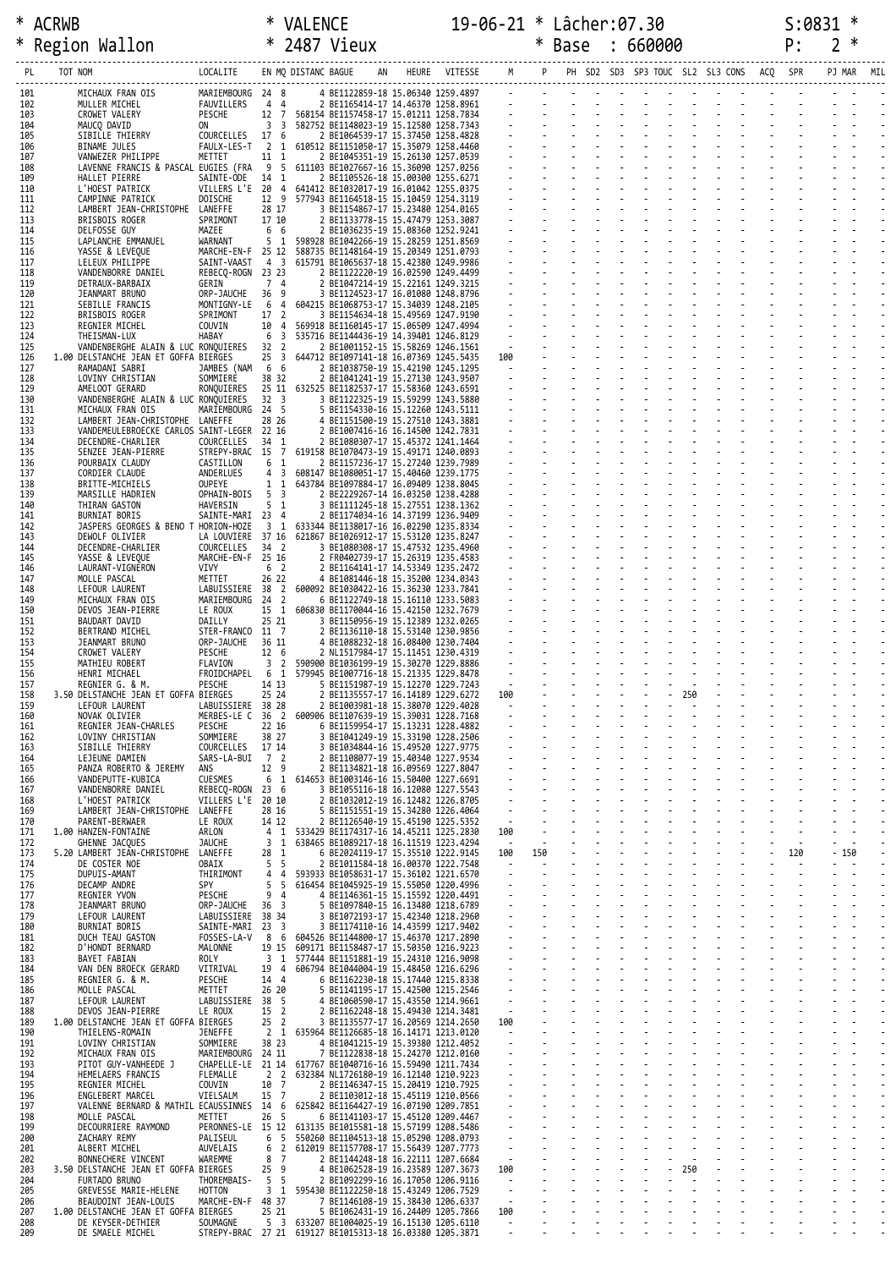| ิRWB                   |          | VAI FNC             |    |       |         | $0 - 06 - 21$ * . |      | Lâcher:07.30                         |  |     |     | $\cdot$ arri         |
|------------------------|----------|---------------------|----|-------|---------|-------------------|------|--------------------------------------|--|-----|-----|----------------------|
| Region<br>Wallon<br>≛. |          | 2487<br>ж.          |    |       |         |                   | Base | 660000                               |  |     |     | $\ddot{\phantom{1}}$ |
| TOT NOM                | LOCALITE | EN MO DISTANC BAGUE | AN | HEURE | VITESSE |                   |      | M P PH SD2 SD3 SP3 TOUC SL2 SL3 CONS |  | ACO | SPR | PJ MAR               |

| PL         |                                                                   | LOCALITE                              |                                            | EN MQ DISTANC BAGUE |                                                                                                    | -----------------------------<br>AN HEURE VITESSE M P |                          |     |  |        |     | PH SD2 SD3 SP3 TOUC SL2 SL3 CONS ACQ SPR |     |        |  |
|------------|-------------------------------------------------------------------|---------------------------------------|--------------------------------------------|---------------------|----------------------------------------------------------------------------------------------------|-------------------------------------------------------|--------------------------|-----|--|--------|-----|------------------------------------------|-----|--------|--|
| 101<br>102 | MICHAUX FRAN OIS<br>MULLER MICHEL<br>CROWET VALERY<br>MAUCO DAVID | MARIEMBOURG 24 8<br>FAUVILLERS 4 4    |                                            |                     |                                                                                                    |                                                       |                          |     |  |        |     |                                          |     |        |  |
| 103<br>104 | MAUCQ DAVID                                                       | PESCHE<br>ON                          |                                            |                     |                                                                                                    |                                                       |                          |     |  |        |     |                                          |     |        |  |
| 105        | SIBILLE THIERRY                                                   | COURCELLES 17 6                       |                                            |                     |                                                                                                    |                                                       |                          |     |  |        |     |                                          |     |        |  |
| 106<br>107 | BINAME JULES<br>VANWEZER PHILIPPE                                 | METTET                                |                                            |                     | FAULX-LES-T 2 1 610512 BE1151050-17 15.35079 1258.4460                                             |                                                       |                          |     |  |        |     |                                          |     |        |  |
| 108<br>109 | LAVENNE FRANCIS & PASCAL EUGIES (FRA<br>HALLET PIERRE             | SAINTE-ODE                            |                                            |                     |                                                                                                    |                                                       |                          |     |  |        |     |                                          |     |        |  |
| 110<br>111 | L'HOEST PATRICK<br>CAMPINNE PATRICK                               | DOISCHE                               |                                            |                     | VILLERS L'E 20 4 641412 BE1032017-19 16.01042 1255.0375                                            |                                                       |                          |     |  |        |     |                                          |     |        |  |
| 112        | LAMBERT JEAN-CHRISTOPHE                                           | LANEFFE<br>SPRIMONT                   |                                            |                     |                                                                                                    |                                                       |                          |     |  |        |     |                                          |     |        |  |
| 113<br>114 | BRISBOIS ROGER<br>DELFOSSE GUY                                    | MAZEE                                 |                                            |                     |                                                                                                    |                                                       |                          |     |  |        |     |                                          |     |        |  |
| 115<br>116 | LAPLANCHE EMMANUEL<br>YASSE & LEVEQUE                             | WARNANT                               |                                            |                     | MARCHE-EN-F 25 12 588735 BE1148164-19 15.20349 1251.0793                                           |                                                       |                          |     |  |        |     |                                          |     |        |  |
| 117<br>118 | LELEUX PHILIPPE<br>VANDENBORRE DANIEL                             | SAINT-VAAST<br>REBECQ-ROGN 23 23      |                                            |                     |                                                                                                    |                                                       |                          |     |  |        |     |                                          |     |        |  |
| 119<br>120 | DETRAUX-BARBAIX<br>JEANMART BRUNO                                 | GERIN<br>ORP-JAUCHE                   |                                            |                     |                                                                                                    |                                                       |                          |     |  |        |     |                                          |     |        |  |
| 121        | SEBILLE FRANCIS                                                   | MONTIGNY-LE 6                         |                                            |                     |                                                                                                    |                                                       |                          |     |  |        |     |                                          |     |        |  |
| 122<br>123 | BRISBOIS ROGER<br>REGNIER MICHEL                                  | SPRIMONT<br>COUVIN                    |                                            |                     |                                                                                                    |                                                       |                          |     |  |        |     |                                          |     |        |  |
| 124<br>125 | THE ISMAN-LUX<br>VANDENBERGHE ALAIN & LUC RONQUIERES              | HABAY                                 |                                            |                     |                                                                                                    |                                                       |                          |     |  |        |     |                                          |     |        |  |
| 126<br>127 | 1.00 DELSTANCHE JEAN ET GOFFA BIERGES<br>RAMADANI SABRI           | JAMBES (NAM 6 6                       |                                            |                     |                                                                                                    |                                                       |                          |     |  |        |     |                                          |     |        |  |
| 128<br>129 | LOVINY CHRISTIAN<br>AMELOOT GERARD                                | SOMMIERE<br>RONQUIERES                |                                            |                     |                                                                                                    |                                                       |                          |     |  |        |     |                                          |     |        |  |
| 130        | VANDENBERGHE ALAIN & LUC RONQUIERES                               |                                       |                                            |                     |                                                                                                    |                                                       |                          |     |  |        |     |                                          |     |        |  |
| 131<br>132 | MICHAUX FRAN OIS<br>LAMBERT JEAN-CHRISTOPHE LANEFFE               | MARIEMBOURG 24 5                      |                                            |                     |                                                                                                    |                                                       |                          |     |  |        |     |                                          |     |        |  |
| 133<br>134 | VANDEMEULEBROECKE CARLOS SAINT-LEGER 22 16<br>DECENDRE-CHARLIER   | COURCELLES                            |                                            |                     |                                                                                                    |                                                       |                          |     |  |        |     |                                          |     |        |  |
| 135<br>136 | SENZEE JEAN-PIERRE<br>POURBAIX CLAUDY                             | CASTILLON                             |                                            |                     | STREPY-BRAC 15 7 619158 BE1070473-19 15.49171 1240.0893                                            |                                                       |                          |     |  |        |     |                                          |     |        |  |
| 137        | CORDIER CLAUDE                                                    | ANDERLUES                             |                                            |                     |                                                                                                    |                                                       |                          |     |  |        |     |                                          |     |        |  |
| 138<br>139 | BRITTE-MICHIELS<br>MARSILLE HADRIEN                               | OUPEYE<br>OPHAIN-BOIS                 |                                            |                     |                                                                                                    |                                                       |                          |     |  |        |     |                                          |     |        |  |
| 140<br>141 | THIRAN GASTON<br><b>BURNIAT BORIS</b>                             | HAVERSIN<br>SAINTE-MARI 23 4          |                                            |                     |                                                                                                    |                                                       |                          |     |  |        |     |                                          |     |        |  |
| 142<br>143 | JASPERS GEORGES & BENO T HORION-HOZE<br>DEWOLF OLIVIER            |                                       |                                            |                     | LA LOUVIERE 37 16 621867 BE1026912-17 15.53120 1235.8247                                           |                                                       |                          |     |  |        |     |                                          |     |        |  |
| 144<br>145 | DECENDRE-CHARLIER<br>YASSE & LEVEQUE                              | COURCELLES 34 2<br>MARCHE-EN-F 25 16  |                                            |                     |                                                                                                    |                                                       |                          |     |  |        |     |                                          |     |        |  |
| 146        | LAURANT-VIGNERON                                                  | VIVY                                  |                                            |                     |                                                                                                    |                                                       |                          |     |  |        |     |                                          |     |        |  |
| 147<br>148 | MOLLE PASCAL<br>LEFOUR LAURENT                                    | METTET                                |                                            |                     | LABUISSIERE 38 2 600092 BE1030422-16 15.36230 1233.7841                                            |                                                       |                          |     |  |        |     |                                          |     |        |  |
| 149<br>150 | MICHAUX FRAN OIS<br>DEVOS JEAN-PIERRE                             | MARIEMBOURG 24 2<br>LE ROUX           |                                            |                     |                                                                                                    |                                                       |                          |     |  |        |     |                                          |     |        |  |
| 151<br>152 | BAUDART DAVID<br>BERTRAND MICHEL                                  | DAILLY<br>STER-FRANCO 11 7            |                                            |                     |                                                                                                    |                                                       |                          |     |  |        |     |                                          |     |        |  |
| 153<br>154 | JEANMART BRUNO<br>CROWET VALERY                                   | ORP-JAUCHE<br>PESCHE                  |                                            |                     |                                                                                                    |                                                       |                          |     |  |        |     |                                          |     |        |  |
| 155        | MATHIEU ROBERT                                                    | FLAVION                               |                                            |                     |                                                                                                    |                                                       |                          |     |  |        |     |                                          |     |        |  |
| 156<br>157 | HENRI MICHAEL<br>REGNIER G. & M.                                  | FROIDCHAPEL 6 1<br>PESCHE             |                                            |                     |                                                                                                    |                                                       |                          |     |  |        |     |                                          |     |        |  |
| 158<br>159 | 3.50 DELSTANCHE JEAN ET GOFFA BIERGES<br>LEFOUR LAURENT           | LABUISSIERE 38 28                     | 25 24                                      |                     | 2 BE1135557-17 16.14189 1229.6272<br>2 BE1003981-18 15.38070 1229.4028                             |                                                       | 100                      |     |  | $-250$ |     |                                          |     |        |  |
| 160<br>161 | NOVAK OLIVIER<br>REGNIER JEAN-CHARLES                             | PESCHE                                | 22 16                                      |                     | MERBES-LE C 36 2 600906 BE1107639-19 15.39031 1228.7168<br>6 BE1159954-17 15.13231 1228.4882       |                                                       |                          |     |  |        |     |                                          |     |        |  |
| 162<br>163 | LOVINY CHRISTIAN                                                  | SOMMIERE                              | 38 27                                      |                     | 3 BE1041249-19 15.33190 1228.2506<br>3 BE1034844-16 15.49520 1227.9775                             |                                                       |                          |     |  |        |     |                                          |     |        |  |
| 164        | SIBILLE THIERRY<br>LEJEUNE DAMIEN                                 | COURCELLES 17 14<br>SARS-LA-BUI 7 2   |                                            |                     | 2 BE1108077-19 15.40340 1227.9534                                                                  |                                                       |                          |     |  |        |     |                                          |     |        |  |
| 165<br>166 | PANZA ROBERTO & JEREMY<br>VANDEPUTTE-KUBICA                       | ANS<br><b>CUESMES</b>                 | 12 9<br>6 <sub>1</sub>                     |                     | 2 BE1134821-18 16.09569 1227.8047<br>614653 BE1003146-16 15.50400 1227.6691                        |                                                       |                          |     |  |        |     |                                          |     |        |  |
| 167<br>168 | VANDENBORRE DANIEL<br>L'HOEST PATRICK                             | REBECQ-ROGN 23 6<br>VILLERS L'E 20 10 |                                            |                     | 3 BE1055116-18 16.12080 1227.5543<br>2 BE1032012-19 16.12482 1226.8705                             |                                                       |                          |     |  |        |     |                                          |     |        |  |
| 169<br>170 | LAMBERT JEAN-CHRISTOPHE<br>PARENT-BERWAER                         | LANEFFE<br>LE ROUX                    | 28 16<br>14 12                             |                     | 5 BE1151551-19 15.34280 1226.4064<br>2 BE1126540-19 15.45190 1225.5352                             |                                                       | $\sim$                   |     |  |        |     |                                          |     |        |  |
| 171<br>172 | 1.00 HANZEN-FONTAINE<br>GHENNE JACQUES                            | ARLON<br><b>JAUCHE</b>                | 4<br>1<br>3<br>1                           |                     | 533429 BE1174317-16 14.45211 1225.2830<br>638465 BE1089217-18 16.11519 1223.4294                   |                                                       | 100<br>$\sim$ $-$        |     |  |        |     |                                          |     |        |  |
| 173        | 5.20 LAMBERT JEAN-CHRISTOPHE                                      | LANEFFE                               | 28<br>1                                    |                     | 6 BE2024119-17 15.35510 1222.9145                                                                  |                                                       | 100                      | 150 |  |        |     |                                          | 120 | $-150$ |  |
| 174<br>175 | DE COSTER NOE<br>DUPUIS-AMANT                                     | OBAIX<br>THIRIMONT                    | 5<br>5<br>4<br>4                           |                     | 2 BE1011584-18 16.00370 1222.7548<br>593933 BE1058631-17 15.36102 1221.6570                        |                                                       | $\blacksquare$           |     |  |        |     |                                          |     |        |  |
| 176<br>177 | DECAMP ANDRE<br>REGNIER YVON                                      | <b>SPY</b><br>PESCHE                  | 5<br>5<br>94                               |                     | 616454 BE1045925-19 15.55050 1220.4996<br>4 BE1146361-15 15.15592 1220.4491                        |                                                       |                          |     |  |        |     |                                          |     |        |  |
| 178<br>179 | JEANMART BRUNO<br>LEFOUR LAURENT                                  | ORP-JAUCHE<br>LABUISSIERE 38 34       | $\overline{\phantom{a}}$<br>36             |                     | 5 BE1097840-15 16.13480 1218.6789<br>3 BE1072193-17 15.42340 1218.2960                             |                                                       |                          |     |  |        |     |                                          |     |        |  |
| 180<br>181 | <b>BURNIAT BORIS</b><br>DUCH TEAU GASTON                          | SAINTE-MARI 23<br>FOSSES-LA-V         | $\overline{\mathbf{3}}$<br>8<br>6          |                     | 3 BE1174110-16 14.43599 1217.9402<br>604526 BE1144800-17 15.46370 1217.2890                        |                                                       |                          |     |  |        |     |                                          |     |        |  |
| 182        | D'HONDT BERNARD                                                   | MALONNE                               | 19 15                                      |                     | 609171 BE1158487-17 15.50350 1216.9223                                                             |                                                       | $\omega$                 |     |  |        |     |                                          |     |        |  |
| 183<br>184 | BAYET FABIAN<br>VAN DEN BROECK GERARD                             | ROLY<br>VITRIVAL                      | 3<br>1<br>19<br>$\overline{4}$             |                     | 577444 BE1151881-19 15.24310 1216.9098<br>606794 BE1044004-19 15.48450 1216.6296                   |                                                       |                          |     |  |        |     |                                          |     |        |  |
| 185<br>186 | REGNIER G. & M.<br>MOLLE PASCAL                                   | PESCHE<br>METTET                      | 14 4<br>26 20                              |                     | 6 BE1162230-18 15.17440 1215.8338<br>5 BE1141195-17 15.42500 1215.2546                             |                                                       |                          |     |  |        |     |                                          |     |        |  |
| 187<br>188 | LEFOUR LAURENT<br>DEVOS JEAN-PIERRE                               | LABUISSIERE 38<br>LE ROUX             | -5<br>15 2                                 |                     | 4 BE1060590-17 15.43550 1214.9661<br>2 BE1162248-18 15.49430 1214.3481                             |                                                       | $\sim$                   |     |  |        |     |                                          |     |        |  |
| 189        | 1.00 DELSTANCHE JEAN ET GOFFA BIERGES                             | <b>JENEFFE</b>                        | 25 2<br>2 <sub>1</sub>                     |                     | 3 BE1135577-17 16.20569 1214.2650<br>635964 BE1126685-18 16.14171 1213.0120                        |                                                       | 100                      |     |  |        |     |                                          |     |        |  |
| 190<br>191 | THIELENS-ROMAIN<br>LOVINY CHRISTIAN                               | SOMMIERE                              | 38 23                                      |                     | 4 BE1041215-19 15.39380 1212.4052                                                                  |                                                       | $\sim$                   |     |  |        |     |                                          |     |        |  |
| 192<br>193 | MICHAUX FRAN OIS<br>PITOT GUY-VANHEEDE J                          | MARIEMBOURG 24 11                     |                                            |                     | 7 BE1122838-18 15.24270 1212.0160<br>CHAPELLE-LE 21 14 617767 BE1040716-16 15.59490 1211.7434      |                                                       | $\blacksquare$           |     |  |        |     |                                          |     |        |  |
| 194<br>195 | HEMELAERS FRANCIS<br>REGNIER MICHEL                               | FLEMALLE<br>COUVIN                    | 2 <sub>2</sub><br>10 7                     |                     | 632384 NL1726180-19 16.12140 1210.9223<br>2 BE1146347-15 15.20419 1210.7925                        |                                                       | $\omega$                 |     |  |        |     |                                          |     |        |  |
| 196<br>197 | ENGLEBERT MARCEL<br>VALENNE BERNARD & MATHIL ECAUSSINNES 14 6     | VIELSALM                              | 15<br>$\overline{7}$                       |                     | 2 BE1103012-18 15.45119 1210.0566<br>625842 BE1164427-19 16.07190 1209.7851                        |                                                       |                          |     |  |        |     |                                          |     |        |  |
| 198        | MOLLE PASCAL                                                      | METTET                                | 26<br>- 5                                  |                     | 6 BE1141103-17 15.45120 1209.4467                                                                  |                                                       |                          |     |  |        |     |                                          |     |        |  |
| 199<br>200 | DECOURRIERE RAYMOND<br>ZACHARY REMY                               | PERONNES-LE 15 12<br>PALISEUL         | 6<br>$5\overline{)}$                       |                     | 613135 BE1015581-18 15.57199 1208.5486<br>550260 BE1104513-18 15.05290 1208.0793                   |                                                       | $\mathcal{L}$            |     |  |        |     |                                          |     |        |  |
| 201<br>202 | ALBERT MICHEL<br>BONNECHERE VINCENT                               | AUVELAIS<br>WAREMME                   | 6<br>$\overline{2}$<br>$\overline{7}$<br>8 |                     | 612019 BE1157708-17 15.56439 1207.7773<br>2 BE1144248-18 16.22111 1207.6684                        |                                                       | $\sim$                   |     |  |        |     |                                          |     |        |  |
| 203<br>204 | 3.50 DELSTANCHE JEAN ET GOFFA BIERGES<br>FURTADO BRUNO            | THOREMBAIS-                           | 25<br>- 9<br>- 5<br>5                      |                     | 4 BE1062528-19 16.23589 1207.3673<br>2 BE1092299-16 16.17050 1206.9116                             |                                                       | 100                      |     |  |        | 250 |                                          |     |        |  |
| 205<br>206 | GREVESSE MARIE-HELENE<br>BEAUDOINT JEAN-LOUIS                     | <b>HOTTON</b><br>MARCHE-EN-F 48 37    | 3<br>1                                     |                     | 595430 BE1122250-18 15.43249 1206.7529<br>7 BE1146108-19 15.38430 1206.6337                        |                                                       | $\sim$                   |     |  |        |     |                                          |     |        |  |
| 207        | 1.00 DELSTANCHE JEAN ET GOFFA BIERGES                             |                                       | 25 21                                      |                     | 5 BE1062431-19 16.24409 1205.7866                                                                  |                                                       | 100                      |     |  |        |     |                                          |     |        |  |
| 208<br>209 | DE KEYSER-DETHIER<br>DE SMAELE MICHEL                             | SOUMAGNE                              | 5 <sup>3</sup>                             |                     | 633207 BE1004025-19 16.15130 1205.6110<br>STREPY-BRAC 27 21 619127 BE1015313-18 16.03380 1205.3871 |                                                       | $\sim$<br>$\blacksquare$ |     |  |        |     |                                          |     |        |  |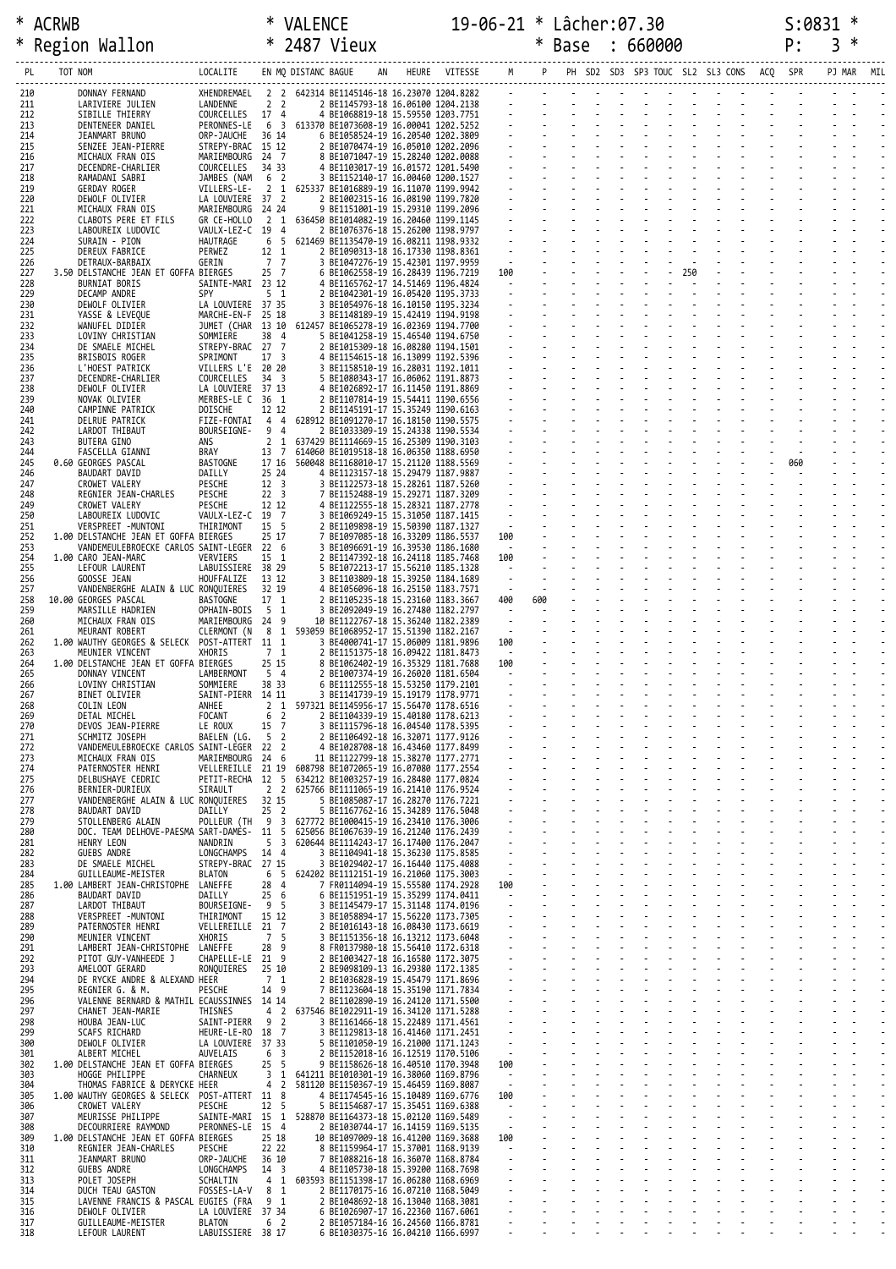| *          | ACRWB                                                                              |                                 | ∗                                  | <b>VALENCE</b>                   |                                                                                                                                                                                                                                        |  | 19-06-21 * Lâcher:07.30 |     |  |                                   |  | S:0831 |            |  |
|------------|------------------------------------------------------------------------------------|---------------------------------|------------------------------------|----------------------------------|----------------------------------------------------------------------------------------------------------------------------------------------------------------------------------------------------------------------------------------|--|-------------------------|-----|--|-----------------------------------|--|--------|------------|--|
| $\ast$     | Region Wallon                                                                      | $*$ 2487 Vieux                  |                                    |                                  |                                                                                                                                                                                                                                        |  |                         |     |  | * Base : 660000                   |  | P:     | 3          |  |
| PL         | TOT NOM                                                                            |                                 |                                    |                                  |                                                                                                                                                                                                                                        |  |                         |     |  |                                   |  |        | PJ MAR MIL |  |
|            |                                                                                    |                                 |                                    |                                  |                                                                                                                                                                                                                                        |  |                         |     |  |                                   |  |        |            |  |
| 210<br>211 | DONNAY FERNAND<br>LARIVIERE JULIEN                                                 |                                 |                                    |                                  | XHENDREMAEL 2 2 642314 BE1145146-18 16.23070 1204.8282<br>COURCELLES 17 4 4 BE1068819-18 15.69550 1203.7751<br>COURCELLES 17 4 4 BE1068819-18 15.59550 1203.7751<br>PERONNES-LE 6 3 613370 BE1073608-19 16.00041 1202.5252<br>ORP-JAUC |  |                         |     |  |                                   |  |        |            |  |
| 212<br>213 | SIBILLE THIERRY<br>DENTENEER DANIEL                                                |                                 |                                    |                                  |                                                                                                                                                                                                                                        |  |                         |     |  |                                   |  |        |            |  |
| 214<br>215 | JEANMART BRUNO<br>SENZEE JEAN-PIERRE                                               |                                 |                                    |                                  |                                                                                                                                                                                                                                        |  |                         |     |  |                                   |  |        |            |  |
| 216        | MICHAUX FRAN OIS                                                                   |                                 |                                    |                                  |                                                                                                                                                                                                                                        |  |                         |     |  |                                   |  |        |            |  |
| 217<br>218 | DECENDRE-CHARLIER<br>RAMADANI SABRI                                                |                                 |                                    |                                  |                                                                                                                                                                                                                                        |  |                         |     |  |                                   |  |        |            |  |
| 219<br>220 | GERDAY ROGER<br>DEWOLF OLIVIER                                                     | LA LOUVIERE 37 2                |                                    |                                  | 2 BE1002315-16 16.08190 1199.7820                                                                                                                                                                                                      |  |                         |     |  | and the state of the state of     |  |        |            |  |
| 221        | MICHAUX FRAN OIS                                                                   | MARIEMBOURG 24 24               |                                    |                                  | 9 BE1151001-19 15.29310 1199.2096                                                                                                                                                                                                      |  |                         |     |  |                                   |  |        |            |  |
| 222<br>223 | CLABOTS PERE ET FILS<br>LABOUREIX LUDOVIC                                          | GR CE-HOLLO<br>VAULX-LEZ-C 19 4 |                                    |                                  | 2 1 636450 BE1014082-19 16.20460 1199.1145<br>2 BE1076376-18 15.26200 1198.9797                                                                                                                                                        |  |                         |     |  |                                   |  |        |            |  |
| 224<br>225 | SURAIN - PION<br>DEREUX FABRICE                                                    | HAUTRAGE<br>PERWEZ              | 6 5<br>12 1                        |                                  | 621469 BE1135470-19 16.08211 1198.9332<br>2 BE1090313-18 16.17330 1198.8361                                                                                                                                                            |  |                         |     |  |                                   |  |        |            |  |
| 226<br>227 | DETRAUX-BARBAIX<br>3.50 DELSTANCHE JEAN ET GOFFA BIERGES                           | GERIN                           | 7 7<br>25 7                        |                                  | 3 BE1047276-19 15.42301 1197.9959<br>6 BE1062558-19 16.28439 1196.7219                                                                                                                                                                 |  | $\sim 10^{-1}$<br>100   |     |  | $\frac{1}{2}$ $\frac{1}{250}$     |  |        |            |  |
| 228        | BURNIAT BORIS                                                                      | SAINTE-MARI 23 12               |                                    |                                  | 4 BE1165762-17 14.51469 1196.4824                                                                                                                                                                                                      |  | $\sim 10^{-10}$         |     |  |                                   |  |        |            |  |
| 229<br>230 | DECAMP ANDRE<br>DEWOLF OLIVIER                                                     | SPY<br>LA LOUVIERE 37 35        | 5 <sub>1</sub>                     |                                  | 2 BE1042301-19 16.05420 1195.3733<br>3 BE1054976-18 16.10150 1195.3234                                                                                                                                                                 |  |                         |     |  |                                   |  |        |            |  |
| 231<br>232 | YASSE & LEVEQUE<br>WANUFEL DIDIER                                                  | MARCHE-EN-F 25 18               |                                    |                                  | 3 BE1148189-19 15.42419 1194.9198<br>JUMET (CHAR 13 10 612457 BE1065278-19 16.02369 1194.7700                                                                                                                                          |  |                         |     |  | and the state of the state of the |  |        |            |  |
| 233        | LOVINY CHRISTIAN                                                                   | SOMMIERE                        | 38 4                               |                                  | 5 BE1041258-19 15.46540 1194.6750                                                                                                                                                                                                      |  |                         |     |  |                                   |  |        |            |  |
| 234<br>235 | DE SMAELE MICHEL<br>BRISBOIS ROGER                                                 | STREPY-BRAC 27 7<br>SPRIMONT    | 17 <sup>3</sup>                    |                                  | 2 BE1015309-18 16.08280 1194.1501<br>4 BE1154615-18 16.13099 1192.5396                                                                                                                                                                 |  |                         |     |  |                                   |  |        |            |  |
| 236<br>237 | L'HOEST PATRICK<br>DECENDRE-CHARLIER                                               | VILLERS L'E 20 20<br>COURCELLES | $34 \quad 3$                       |                                  | 3 BE1158510-19 16.28031 1192.1011<br>5 BE1080343-17 16.06062 1191.8873                                                                                                                                                                 |  |                         |     |  |                                   |  |        |            |  |
| 238        | DEWOLF OLIVIER                                                                     | LA LOUVIERE 37 13               |                                    |                                  | 4 BE1026892-17 16.11450 1191.8869                                                                                                                                                                                                      |  |                         |     |  | <b>Carl Carl Carl</b>             |  |        |            |  |
| 239<br>240 | NOVAK OLIVIER<br>CAMPINNE PATRICK                                                  | MERBES-LE C 36 1<br>DOISCHE     | 12 12                              |                                  | 2 BE1107814-19 15.54411 1190.6556<br>2 BE1145191-17 15.35249 1190.6163                                                                                                                                                                 |  |                         |     |  |                                   |  |        |            |  |
| 241<br>242 | DELRUE PATRICK<br>LARDOT THIBAUT                                                   | FIZE-FONTAI<br>BOURSEIGNE-      | 44<br>9 4                          |                                  | 628912 BE1091270-17 16.18150 1190.5575<br>2 BE1033309-19 15.24338 1190.5534                                                                                                                                                            |  |                         |     |  |                                   |  |        |            |  |
| 243        | BUTERA GINO                                                                        | ANS                             | 2 <sub>1</sub>                     |                                  | 637429 BE1114669-15 16.25309 1190.3103                                                                                                                                                                                                 |  |                         |     |  |                                   |  |        |            |  |
| 244<br>245 | FASCELLA GIANNI<br>0.60 GEORGES PASCAL                                             | BRAY<br>BASTOGNE                | 13 7                               |                                  | 614060 BE1019518-18 16.06350 1188.6950<br>17 16 560048 BE1168010-17 15.21120 1188.5569                                                                                                                                                 |  |                         |     |  | <b>Carl Carl Carl</b>             |  | 060    |            |  |
| 246        | BAUDART DAVID                                                                      | DAILLY                          | 25 24                              |                                  | 4 BE1123157-18 15.29479 1187.9887                                                                                                                                                                                                      |  |                         |     |  |                                   |  |        |            |  |
| 247<br>248 | CROWET VALERY<br>REGNIER JEAN-CHARLES                                              | PESCHE<br>PESCHE                | 12 <sup>3</sup><br>22 <sup>3</sup> |                                  | 3 BE1122573-18 15.28261 1187.5260<br>7 BE1152488-19 15.29271 1187.3209                                                                                                                                                                 |  |                         |     |  |                                   |  |        |            |  |
| 249<br>250 | CROWET VALERY<br>LABOUREIX LUDOVIC                                                 | PESCHE<br>VAULX-LEZ-C 19 7      | 12 12                              |                                  | 4 BE1122555-18 15.28321 1187.2778<br>3 BE1069249-15 15.31050 1187.1415                                                                                                                                                                 |  |                         |     |  |                                   |  |        |            |  |
| 251        | VERSPREET -MUNTONI                                                                 | THIRIMONT                       | 15 5                               |                                  | 2 BE1109898-19 15.50390 1187.1327                                                                                                                                                                                                      |  | $\frac{1}{2}$           |     |  |                                   |  |        |            |  |
| 252<br>253 | 1.00 DELSTANCHE JEAN ET GOFFA BIERGES<br>VANDEMEULEBROECKE CARLOS SAINT-LEGER 22 6 |                                 | 25 17                              |                                  | 7 BE1097085-18 16.33209 1186.5537<br>3 BE1096691-19 16.39530 1186.1680                                                                                                                                                                 |  | 100<br>$\sim 100$       |     |  |                                   |  |        |            |  |
| 254<br>255 | 1.00 CARO JEAN-MARC<br>LEFOUR LAURENT                                              | VERVIERS<br>LABUISSIERE 38 29   | 15 1                               |                                  | 2 BE1147392-18 16.24118 1185.7468<br>5 BE1072213-17 15.56210 1185.1328                                                                                                                                                                 |  | 100<br>$\sim$           |     |  |                                   |  |        |            |  |
| 256        | GOOSSE JEAN                                                                        | HOUFFALIZE                      | 13 12                              |                                  | 3 BE1103809-18 15.39250 1184.1689                                                                                                                                                                                                      |  | $\sim$<br>-E            |     |  |                                   |  |        |            |  |
| 257<br>258 | VANDENBERGHE ALAIN & LUC RONQUIERES<br>10.00 GEORGES PASCAL                        | BASTOGNE                        | 32 19<br>17 1                      |                                  | 4 BE1056096-18 16.25150 1183.7571<br>2 BE1105235-18 15.23160 1183.3667                                                                                                                                                                 |  | 400                     | 600 |  |                                   |  |        |            |  |
| 259<br>260 | MARSILLE HADRIEN<br>MICHAUX FRAN OIS                                               | OPHAIN-BOIS<br>MARIEMBOURG 24 9 | 5 1                                |                                  | 3 BE2092049-19 16.27480 1182.2797<br>10 BE1122767-18 15.36240 1182.2389                                                                                                                                                                |  | $\sim$<br>$\sim$        |     |  |                                   |  |        |            |  |
| 261        | MEURANT ROBERT                                                                     | CLERMONT (N                     | $_{\rm 8}$                         |                                  | 1 593059 BE1068952-17 15.51390 1182.2167                                                                                                                                                                                               |  | $\sim$ $\pm$            |     |  |                                   |  |        |            |  |
| 262<br>263 | 1.00 WAUTHY GEORGES & SELECK POST-ATTERT 11 1<br>MEUNIER VINCENT                   | XHORIS                          | 7 1                                |                                  | 3 BE4000741-17 15.06009 1181.9896<br>2 BE1151375-18 16.09422 1181.8473                                                                                                                                                                 |  | 100<br>$\sim$ $-$       |     |  |                                   |  |        |            |  |
| 264        | 1.00 DELSTANCHE JEAN ET GOFFA BIERGES                                              |                                 | 25 15                              |                                  | 8 BE1062402-19 16.35329 1181.7688                                                                                                                                                                                                      |  | 100<br>$\sim$           |     |  |                                   |  |        |            |  |
| 265<br>266 | DONNAY VINCENT<br>LOVINY CHRISTIAN                                                 | LAMBERMONT<br>SOMMIERE          | 5 4<br>38 33                       |                                  | 2 BE1007374-19 16.26020 1181.6504<br>6 BE1112555-18 15.53250 1179.2101                                                                                                                                                                 |  |                         |     |  |                                   |  |        |            |  |
| 267<br>268 | BINET OLIVIER<br>COLIN LEON                                                        | SAINT-PIERR 14 11<br>ANHEE      | $\overline{2}$                     | 1                                | 3 BE1141739-19 15.19179 1178.9771<br>597321 BE1145956-17 15.56470 1178.6516                                                                                                                                                            |  |                         |     |  |                                   |  |        |            |  |
| 269        | DETAL MICHEL                                                                       | <b>FOCANT</b>                   | 6                                  | $\overline{2}$                   | 2 BE1104339-19 15.40180 1178.6213                                                                                                                                                                                                      |  |                         |     |  |                                   |  |        |            |  |
| 270<br>271 | DEVOS JEAN-PIERRE<br>SCHMITZ JOSEPH                                                | LE ROUX<br>BAELEN (LG.          | 15<br>5                            | $\overline{7}$<br>$\overline{2}$ | 3 BE1115796-18 16.04540 1178.5395<br>2 BE1106492-18 16.32071 1177.9126                                                                                                                                                                 |  |                         |     |  |                                   |  |        |            |  |
| 272<br>273 | VANDEMEULEBROECKE CARLOS SAINT-LEGER<br>MICHAUX FRAN OIS                           | MARIEMBOURG 24 6                | 22                                 | $\overline{2}$                   | 4 BE1028708-18 16.43460 1177.8499<br>11 BE1122799-18 15.38270 1177.2771                                                                                                                                                                |  |                         |     |  |                                   |  |        |            |  |
| 274        | PATERNOSTER HENRI                                                                  | VELLEREILLE 21 19               |                                    |                                  | 608798 BE1072065-19 16.07080 1177.2554                                                                                                                                                                                                 |  |                         |     |  |                                   |  |        |            |  |
| 275<br>276 | DELBUSHAYE CEDRIC<br>BERNIER-DURIEUX                                               | PETIT-RECHA<br>SIRAULT          | 12 5<br>2 <sub>2</sub>             |                                  | 634212 BE1003257-19 16.28480 1177.0824<br>625766 BE1111065-19 16.21410 1176.9524                                                                                                                                                       |  |                         |     |  |                                   |  |        |            |  |
| 277<br>278 | VANDENBERGHE ALAIN & LUC RONQUIERES<br><b>BAUDART DAVID</b>                        | DAILLY                          | 32 15<br>25                        | $\overline{2}$                   | 5 BE1085087-17 16.28270 1176.7221<br>5 BE1167762-16 15.34289 1176.5048                                                                                                                                                                 |  |                         |     |  |                                   |  |        |            |  |
| 279        | STOLLENBERG ALAIN                                                                  | POLLEUR (TH                     | 9                                  | $\overline{3}$                   | 627772 BE1000415-19 16.23410 1176.3006                                                                                                                                                                                                 |  |                         |     |  |                                   |  |        |            |  |
| 280<br>281 | DOC. TEAM DELHOVE-PAESMA SART-DAMES- 11<br>HENRY LEON                              | NANDRIN                         | 5                                  | 5<br>$\overline{\mathbf{3}}$     | 625056 BE1067639-19 16.21240 1176.2439<br>620644 BE1114243-17 16.17400 1176.2047                                                                                                                                                       |  |                         |     |  |                                   |  |        |            |  |
| 282<br>283 | <b>GUEBS ANDRE</b><br>DE SMAELE MICHEL                                             | LONGCHAMPS<br>STREPY-BRAC 27 15 | 14 4                               |                                  | 3 BE1104941-18 15.36230 1175.8585<br>3 BE1029402-17 16.16440 1175.4088                                                                                                                                                                 |  |                         |     |  |                                   |  |        |            |  |
| 284        | <b>GUILLEAUME-MEISTER</b>                                                          | <b>BLATON</b>                   | 6                                  | -5                               | 624202 BE1112151-19 16.21060 1175.3003                                                                                                                                                                                                 |  |                         |     |  |                                   |  |        |            |  |
| 285<br>286 | 1.00 LAMBERT JEAN-CHRISTOPHE<br>BAUDART DAVID                                      | LANEFFE<br>DAILLY               | 28<br>25                           | $\overline{4}$<br>6              | 7 FR0114094-19 15.55580 1174.2928<br>6 BE1151951-19 15.35299 1174.0411                                                                                                                                                                 |  | 100                     |     |  |                                   |  |        |            |  |
| 287<br>288 | LARDOT THIBAUT<br>VERSPREET -MUNTONI                                               | BOURSEIGNE-<br>THIRIMONT        | 9<br>15 12                         | -5                               | 3 BE1145479-17 15.31148 1174.0196<br>3 BE1058894-17 15.56220 1173.7305                                                                                                                                                                 |  | ÷                       |     |  |                                   |  |        |            |  |
| 289        | PATERNOSTER HENRI                                                                  | VELLEREILLE 21                  |                                    | 7                                | 2 BE1016143-18 16.08430 1173.6619                                                                                                                                                                                                      |  |                         |     |  |                                   |  |        |            |  |
| 290<br>291 | MEUNIER VINCENT<br>LAMBERT JEAN-CHRISTOPHE                                         | XHORIS<br>LANEFFE               | $\overline{7}$<br>28               | 5<br>9                           | 3 BE1151356-18 16.13212 1173.6048<br>8 FR0137980-18 15.56410 1172.6318                                                                                                                                                                 |  |                         |     |  |                                   |  |        |            |  |
| 292        | PITOT GUY-VANHEEDE J                                                               | CHAPELLE-LE 21                  |                                    | - 9                              | 2 BE1003427-18 16.16580 1172.3075                                                                                                                                                                                                      |  |                         |     |  |                                   |  |        |            |  |
| 293<br>294 | AMELOOT GERARD<br>DE RYCKE ANDRE & ALEXAND HEER                                    | RONQUIERES                      | 25 10<br>$7\overline{ }$           | 1                                | 2 BE9098109-13 16.29380 1172.1385<br>2 BE1036828-19 15.45479 1171.8696                                                                                                                                                                 |  |                         |     |  |                                   |  |        |            |  |
| 295<br>296 | REGNIER G. & M.<br>VALENNE BERNARD & MATHIL ECAUSSINNES 14 14                      | PESCHE                          | 14 9                               |                                  | 7 BE1123604-18 15.35190 1171.7834<br>2 BE1102890-19 16.24120 1171.5500                                                                                                                                                                 |  |                         |     |  |                                   |  |        |            |  |
| 297        | CHANET JEAN-MARIE                                                                  | THISNES                         | 4                                  | $\overline{2}$                   | 637546 BE1022911-19 16.34120 1171.5288                                                                                                                                                                                                 |  |                         |     |  |                                   |  |        |            |  |
| 298<br>299 | HOUBA JEAN-LUC<br><b>SCAFS RICHARD</b>                                             | SAINT-PIERR<br>HEURE-LE-RO      | 9 <sub>2</sub><br>18               | - 7                              | 3 BE1161466-18 15.22489 1171.4561<br>3 BE1129813-18 16.41460 1171.2451                                                                                                                                                                 |  | $\frac{1}{2}$           |     |  |                                   |  |        |            |  |
| 300<br>301 | DEWOLF OLIVIER<br>ALBERT MICHEL                                                    | LA LOUVIERE 37 33<br>AUVELAIS   | 6                                  | $\overline{3}$                   | 5 BE1101050-19 16.21000 1171.1243<br>2 BE1152018-16 16.12519 1170.5106                                                                                                                                                                 |  |                         |     |  |                                   |  |        |            |  |
| 302        | 1.00 DELSTANCHE JEAN ET GOFFA BIERGES                                              |                                 | 25                                 | - 5                              | 9 BE1158626-18 16.40510 1170.3948                                                                                                                                                                                                      |  | 100                     |     |  |                                   |  |        |            |  |
| 303<br>304 | HOGGE PHILIPPE<br>THOMAS FABRICE & DERYCKE HEER                                    | <b>CHARNEUX</b>                 | 3<br>4                             | $\mathbf{1}$<br>$\overline{2}$   | 641211 BE1010301-19 16.38060 1169.8796<br>581120 BE1150367-19 15.46459 1169.8087                                                                                                                                                       |  | $\sim$<br>$\sim$        |     |  |                                   |  |        |            |  |
| 305<br>306 | 1.00 WAUTHY GEORGES & SELECK POST-ATTERT 11 8<br>CROWET VALERY                     | PESCHE                          | 12                                 | -5                               | 4 BE1174545-16 15.10489 1169.6776<br>5 BE1154687-17 15.35451 1169.6388                                                                                                                                                                 |  | 100<br>$\sim$           |     |  |                                   |  |        |            |  |
| 307        | MEURISSE PHILIPPE                                                                  | SAINTE-MARI 15                  |                                    | 1                                | 528870 BE1164373-18 15.02120 1169.5489                                                                                                                                                                                                 |  |                         |     |  |                                   |  |        |            |  |
| 308<br>309 | DECOURRIERE RAYMOND<br>1.00 DELSTANCHE JEAN ET GOFFA BIERGES                       | PERONNES-LE 15 4                | 25 18                              |                                  | 2 BE1030744-17 16.14159 1169.5135<br>10 BE1097009-18 16.41200 1169.3688                                                                                                                                                                |  | 100                     |     |  |                                   |  |        |            |  |
| 310<br>311 | REGNIER JEAN-CHARLES<br>JEANMART BRUNO                                             | PESCHE<br>ORP-JAUCHE            | 22 22<br>36 10                     |                                  | 8 BE1159964-17 15.37001 1168.9139<br>7 BE1088216-18 16.36070 1168.8784                                                                                                                                                                 |  | $\sim$<br>÷             |     |  |                                   |  |        |            |  |
| 312        | <b>GUEBS ANDRE</b>                                                                 | LONGCHAMPS                      | 14 3                               |                                  | 4 BE1105730-18 15.39200 1168.7698                                                                                                                                                                                                      |  |                         |     |  |                                   |  |        |            |  |
| 313<br>314 | POLET JOSEPH<br>DUCH TEAU GASTON                                                   | SCHALTIN<br>FOSSES-LA-V         | 4 <sub>1</sub><br>8 <sub>1</sub>   |                                  | 603593 BE1151398-17 16.06280 1168.6969<br>2 BE1170175-16 16.07210 1168.5049                                                                                                                                                            |  |                         |     |  |                                   |  |        |            |  |
| 315<br>316 | LAVENNE FRANCIS & PASCAL EUGIES (FRA<br>DEWOLF OLIVIER                             | LA LOUVIERE 37 34               | 9 <sub>1</sub>                     |                                  | 2 BE1048692-18 16.13040 1168.3081<br>6 BE1026907-17 16.22360 1167.6061                                                                                                                                                                 |  |                         |     |  |                                   |  |        |            |  |
| 317        | <b>GUILLEAUME-MEISTER</b>                                                          | <b>BLATON</b>                   | 6 2                                |                                  | 2 BE1057184-16 16.24560 1166.8781                                                                                                                                                                                                      |  | Ξ                       |     |  |                                   |  |        |            |  |
| 318        | LEFOUR LAURENT                                                                     | LABUISSIERE 38 17               |                                    |                                  | 6 BE1030375-16 16.04210 1166.6997                                                                                                                                                                                                      |  |                         |     |  |                                   |  |        |            |  |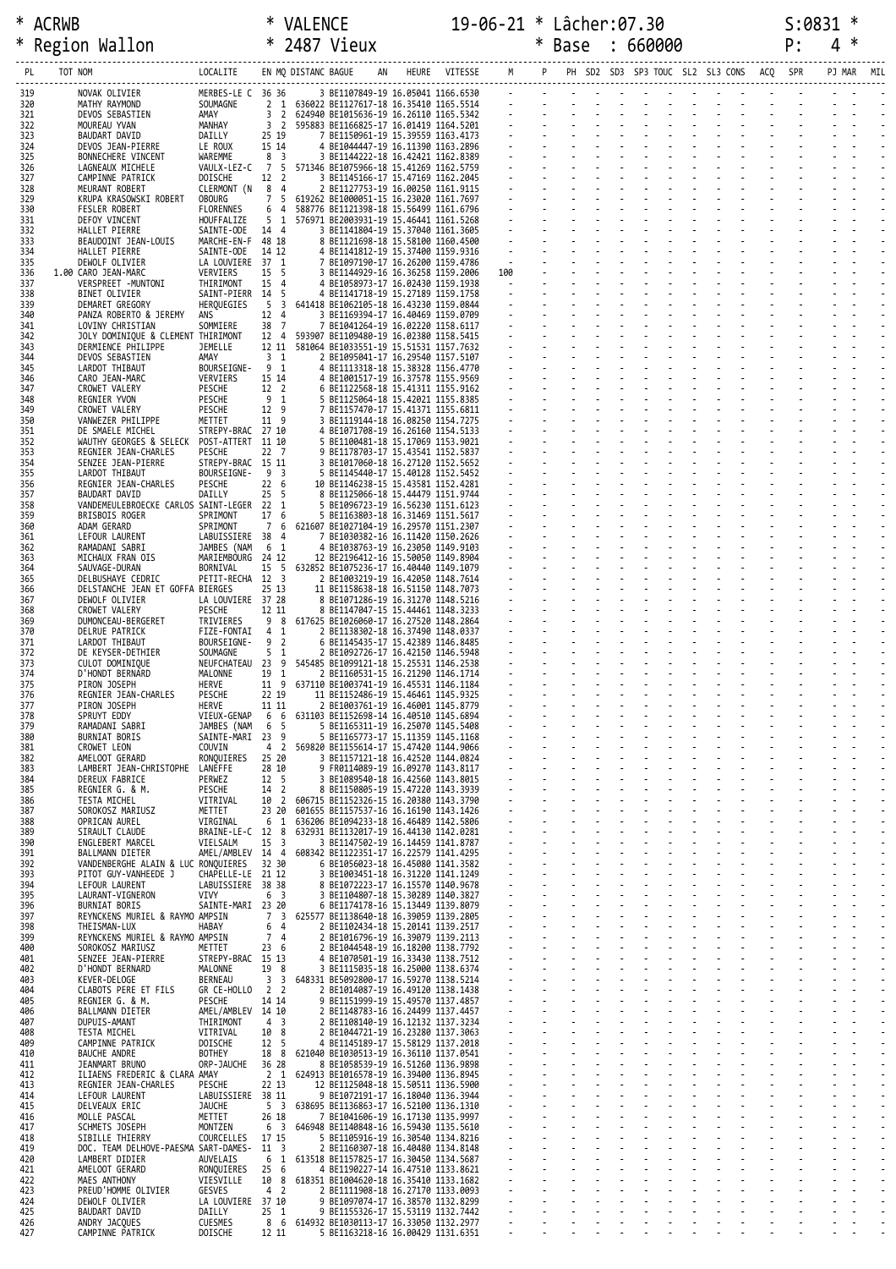|            | * ACRWB                                                      |                                      |                                  |                                                                                                                                                                                                                                          |  |  | 19-06-21 * Lâcher:07.30                                       |  |                               |  |  | S:0831 |            |   |  |
|------------|--------------------------------------------------------------|--------------------------------------|----------------------------------|------------------------------------------------------------------------------------------------------------------------------------------------------------------------------------------------------------------------------------------|--|--|---------------------------------------------------------------|--|-------------------------------|--|--|--------|------------|---|--|
| *          | Region Wallon                                                |                                      |                                  | * VALENCE 19-06.<br>* 2487 Vieux 19-06.                                                                                                                                                                                                  |  |  | * Base : 660000                                               |  |                               |  |  | P:     | 4          | ∗ |  |
|            | TOT NOM<br>PL                                                | LOCALITE EN MQ DISTANC BAGUE         |                                  |                                                                                                                                                                                                                                          |  |  | AN HEURE VITESSE M P PH SD2 SD3 SP3 TOUC SL2 SL3 CONS ACQ SPR |  |                               |  |  |        | PJ MAR MIL |   |  |
| 319        | NOVAK OLIVIER                                                | MERBES-LE C 36 36                    |                                  | 36 36 38 1107849-19 16.05941 1166.6539<br>2 1 636022 BE1127617-18 16.35410 1165.5514<br>3 2 624940 BE1015635-19 16.26110 1165.5514<br>3 2 595883 BE1166825-17 16.01419 1164.5201<br>25 19 7 BE1150951-19 15.39559 1163.4173<br>15 14 4 B |  |  |                                                               |  |                               |  |  |        |            |   |  |
| 320<br>321 | NOVAR ULIVILR<br>MATHY RAYMOND<br>DEVOS SEBASTIEN            | SOUMAGNE<br>AMAY                     |                                  |                                                                                                                                                                                                                                          |  |  |                                                               |  |                               |  |  |        |            |   |  |
| 322<br>323 | MOUREAU YVAN<br>BAUDART DAVID                                | MANHAY<br>DAILLY                     | 25 19                            |                                                                                                                                                                                                                                          |  |  |                                                               |  |                               |  |  |        |            |   |  |
| 324<br>325 | DEVOS JEAN-PIERRE                                            | LE ROUX<br>WAREMME                   | 15 14                            |                                                                                                                                                                                                                                          |  |  |                                                               |  |                               |  |  |        |            |   |  |
| 326        | BONNECHERE VINCENT<br>LAGNEAUX MICHELE                       |                                      |                                  | VAULX-LEZ-C 7 5 571346 BE1075966-18 15.41269 1162.5759                                                                                                                                                                                   |  |  |                                                               |  |                               |  |  |        |            |   |  |
| 327<br>328 | CAMPINNE PATRICK<br>MEURANT ROBERT                           | DOISCHE<br>CLERMONT (N 8 4           | 12 2                             | 2 BE1127753-19 16.00250 1161.9115                                                                                                                                                                                                        |  |  |                                                               |  |                               |  |  |        |            |   |  |
| 329<br>330 | KRUPA KRASOWSKI ROBERT<br><b>FESLER ROBERT</b>               | OBOURG<br>FLORENNES                  |                                  | 7 5 619262 BE1000051-15 16.23020 1161.7697<br>6 4 588776 BE1121398-18 15.56499 1161.6796                                                                                                                                                 |  |  |                                                               |  |                               |  |  |        |            |   |  |
| 331<br>332 | DEFOY VINCENT<br>HALLET PIERRE                               | HOUFFALIZE<br>SAINTE-ODE             | 14 4                             | 5 1 576971 BE2003931-19 15.46441 1161.5268                                                                                                                                                                                               |  |  |                                                               |  |                               |  |  |        |            |   |  |
| 333        | BEAUDOINT JEAN-LOUIS                                         | MARCHE-EN-F 48 18                    |                                  | 3 BE1141804-19 15.37040 1161.3605<br>8 BE1121698-18 15.58100 1160.4500                                                                                                                                                                   |  |  |                                                               |  |                               |  |  |        |            |   |  |
| 334<br>335 | HALLET PIERRE<br>DEWOLF OLIVIER                              | SAINTE-ODE 14 12<br>LA LOUVIERE 37 1 |                                  | 4 BE1141812-19 15.37400 1159.9316<br>7 BE1097190-17 16.26200 1159.4786                                                                                                                                                                   |  |  |                                                               |  |                               |  |  |        |            |   |  |
| 336<br>337 | 1.00 CARO JEAN-MARC<br>VERSPREET -MUNTONI                    | VERVIERS<br>THIRIMONT                | 15 5<br>15 4                     | 3 BE1144929-16 16.36258 1159.2006<br>4 BE1058973-17 16.02430 1159.1938                                                                                                                                                                   |  |  |                                                               |  |                               |  |  |        |            |   |  |
| 338<br>339 | BINET OLIVIER<br>DEMARET GREGORY                             | SAINT-PIERR 14 5<br>HERQUEGIES       | - 5<br>$\overline{\mathbf{3}}$   | 4 BE1141718-19 15.27189 1159.1758<br>641418 BE1062105-18 16.43230 1159.0844                                                                                                                                                              |  |  |                                                               |  |                               |  |  |        |            |   |  |
| 340        | PANZA ROBERTO & JEREMY                                       | ANS                                  | 12 4                             | 3 BE1169394-17 16.40469 1159.0709                                                                                                                                                                                                        |  |  |                                                               |  |                               |  |  |        |            |   |  |
| 341<br>342 | LOVINY CHRISTIAN<br>JOLY DOMINIQUE & CLEMENT THIRIMONT       | SOMMIERE                             | 38 7                             | 7 BE1041264-19 16.02220 1158.6117<br>12 4 593907 BE1109480-19 16.02380 1158.5415                                                                                                                                                         |  |  |                                                               |  |                               |  |  |        |            |   |  |
| 343<br>344 | DERMIENCE PHILIPPE<br>DEVOS SEBASTIEN                        | JEMELLE<br>AMAY                      | 3 <sub>1</sub>                   | 12 11 581064 BE1033551-19 15.51531 1157.7632<br>2 BE1095041-17 16.29540 1157.5107                                                                                                                                                        |  |  |                                                               |  |                               |  |  |        |            |   |  |
| 345<br>346 | LARDOT THIBAUT<br>CARO JEAN-MARC                             | BOURSEIGNE-91<br>VERVIERS            | 15 14                            | 4 BE1113318-18 15.38328 1156.4770<br>4 BE1001517-19 16.37578 1155.9569                                                                                                                                                                   |  |  |                                                               |  |                               |  |  |        |            |   |  |
| 347        | CROWET VALERY                                                | PESCHE                               | 12 <sup>2</sup>                  | 6 BE1122568-18 15.41311 1155.9162                                                                                                                                                                                                        |  |  |                                                               |  |                               |  |  |        |            |   |  |
| 348<br>349 | REGNIER YVON<br>CROWET VALERY                                | PESCHE<br>PESCHE                     | 9 1<br>12 9                      | 5 BE1125064-18 15.42021 1155.8385<br>7 BE1157470-17 15.41371 1155.6811                                                                                                                                                                   |  |  |                                                               |  |                               |  |  |        |            |   |  |
| 350<br>351 | VANWEZER PHILIPPE<br>DE SMAELE MICHEL                        | METTET<br>STREPY-BRAC 27 10          | 11 9                             | 3 BE1119144-18 16.08250 1154.7275<br>4 BE1071708-19 16.26160 1154.5133                                                                                                                                                                   |  |  |                                                               |  |                               |  |  |        |            |   |  |
| 352<br>353 | WAUTHY GEORGES & SELECK<br>REGNIER JEAN-CHARLES              | POST-ATTERT 11 10<br>PESCHE          | 22 7                             | 5 BE1100481-18 15.17069 1153.9021<br>9 BE1178703-17 15.43541 1152.5837                                                                                                                                                                   |  |  |                                                               |  |                               |  |  |        |            |   |  |
| 354        | SENZEE JEAN-PIERRE                                           | STREPY-BRAC 15 11                    |                                  | 3 BE1017060-18 16.27120 1152.5652                                                                                                                                                                                                        |  |  |                                                               |  |                               |  |  |        |            |   |  |
| 355<br>356 | LARDOT THIBAUT<br>REGNIER JEAN-CHARLES                       | BOURSEIGNE-93<br>PESCHE              | 226                              | 5 BE1145440-17 15.40128 1152.5452<br>10 BE1146238-15 15.43581 1152.4281                                                                                                                                                                  |  |  |                                                               |  |                               |  |  |        |            |   |  |
| 357<br>358 | BAUDART DAVID<br>VANDEMEULEBROECKE CARLOS SAINT-LEGER 22 1   | DAILLY                               | 25 <sub>5</sub>                  | 8 BE1125066-18 15.44479 1151.9744<br>5 BE1096723-19 16.56230 1151.6123                                                                                                                                                                   |  |  |                                                               |  |                               |  |  |        |            |   |  |
| 359<br>360 | BRISBOIS ROGER<br>ADAM GERARD                                | SPRIMONT<br>SPRIMONT                 | 17 6                             | 5 BE1163803-18 16.31469 1151.5617<br>7 6 621607 BE1027104-19 16.29570 1151.2307                                                                                                                                                          |  |  |                                                               |  |                               |  |  |        |            |   |  |
| 361        | LEFOUR LAURENT                                               | LABUISSIERE 38 4                     |                                  | 7 BE1030382-16 16.11420 1150.2626                                                                                                                                                                                                        |  |  |                                                               |  |                               |  |  |        |            |   |  |
| 362<br>363 | RAMADANI SABRI<br>MICHAUX FRAN OIS                           | JAMBES (NAM<br>MARIEMBOURG 24 12     | 6 1                              | 4 BE1038763-19 16.23050 1149.9103<br>12 BE2196412-16 15.50050 1149.8904                                                                                                                                                                  |  |  |                                                               |  |                               |  |  |        |            |   |  |
| 364<br>365 | SAUVAGE-DURAN<br>DELBUSHAYE CEDRIC                           | BORNIVAL<br>PETIT-RECHA 12 3         |                                  | 15 5 632852 BE1075236-17 16.40440 1149.1079<br>2 BE1003219-19 16.42050 1148.7614                                                                                                                                                         |  |  |                                                               |  |                               |  |  |        |            |   |  |
| 366<br>367 | DELSTANCHE JEAN ET GOFFA BIERGES<br>DEWOLF OLIVIER           | LA LOUVIERE 37 28                    | 25 13                            | 11 BE1158638-18 16.51150 1148.7073<br>8 BE1071286-19 16.31270 1148.5216                                                                                                                                                                  |  |  |                                                               |  |                               |  |  |        |            |   |  |
| 368        | CROWET VALERY                                                | PESCHE                               | 12 11                            | 8 BE1147047-15 15.44461 1148.3233                                                                                                                                                                                                        |  |  |                                                               |  |                               |  |  |        |            |   |  |
| 369<br>370 | DUMONCEAU-BERGERET<br>DELRUE PATRICK                         | TRIVIERES<br>FIZE-FONTAI 4 1         |                                  | 9 8 617625 BE1026060-17 16.27520 1148.2864<br>2 BE1138302-18 16.37490 1148.0337                                                                                                                                                          |  |  |                                                               |  | and the state of the state of |  |  |        |            |   |  |
| 371<br>372 | LARDOT THIBAUT<br>DE KEYSER-DETHIER                          | BOURSEIGNE-<br>SOUMAGNE              | 9 <sub>2</sub><br>5 <sub>1</sub> | 6 BE1145435-17 15.42389 1146.8485<br>2 BE1092726-17 16.42150 1146.5948                                                                                                                                                                   |  |  |                                                               |  |                               |  |  |        |            |   |  |
| 373<br>374 | CULOT DOMINIQUE<br>D'HONDT BERNARD                           | MALONNE                              | 19 1                             | NEUFCHATEAU 23 9 545485 BE1099121-18 15.25531 1146.2538<br>2 BE1160531-15 16.21290 1146.1714                                                                                                                                             |  |  |                                                               |  |                               |  |  |        |            |   |  |
| 375        | PIRON JOSEPH                                                 | HERVE                                |                                  | 11 9 637110 BE1003741-19 16.45531 1146.1184                                                                                                                                                                                              |  |  |                                                               |  |                               |  |  |        |            |   |  |
| 376<br>377 | REGNIER JEAN-CHARLES<br>PIRON JOSEPH                         | PESCHE<br>HERVE                      | 22 19<br>11 11                   | 11 BE1152486-19 15.46461 1145.9325<br>2 BE1003761-19 16.46001 1145.8779                                                                                                                                                                  |  |  |                                                               |  |                               |  |  |        |            |   |  |
| 378<br>379 | SPRUYT EDDY<br>RAMADANI SABRI                                | VIEUX-GENAP<br>JAMBES (NAM           | 6 6<br>6<br>-5                   | 631103 BE1152698-14 16.40510 1145.6894<br>5 BE1165311-19 16.25070 1145.5408                                                                                                                                                              |  |  |                                                               |  |                               |  |  |        |            |   |  |
| 380<br>381 | <b>BURNIAT BORIS</b><br>CROWET LEON                          | SAINTE-MARI 23 9<br>COUVIN           | 4<br>$\overline{2}$              | 5 BE1165773-17 15.11359 1145.1168<br>569820 BE1155614-17 15.47420 1144.9066                                                                                                                                                              |  |  |                                                               |  |                               |  |  |        |            |   |  |
| 382        | AMELOOT GERARD                                               | RONQUIERES                           | 25 20                            | 3 BE1157121-18 16.42520 1144.0824                                                                                                                                                                                                        |  |  |                                                               |  |                               |  |  |        |            |   |  |
| 383<br>384 | LAMBERT JEAN-CHRISTOPHE<br>DEREUX FABRICE                    | LANEFFE<br>PERWEZ                    | 28 10<br>12 5                    | 9 FR0114089-19 16.09270 1143.8117<br>3 BE1089540-18 16.42560 1143.8015                                                                                                                                                                   |  |  |                                                               |  |                               |  |  |        |            |   |  |
| 385<br>386 | REGNIER G. & M.<br>TESTA MICHEL                              | PESCHE<br>VITRIVAL                   | 14 2<br>10 2                     | 8 BE1150805-19 15.47220 1143.3939<br>606715 BE1152326-15 16.20380 1143.3790                                                                                                                                                              |  |  |                                                               |  |                               |  |  |        |            |   |  |
| 387<br>388 | SOROKOSZ MARIUSZ<br>OPRICAN AUREL                            | METTET<br>VIRGINAL                   | 23 20<br>6 1                     | 601655 BE1157537-16 16.16190 1143.1426<br>636206 BE1094233-18 16.46489 1142.5806                                                                                                                                                         |  |  |                                                               |  |                               |  |  |        |            |   |  |
| 389        | SIRAULT CLAUDE                                               | BRAINE-LE-C 12 8                     |                                  | 632931 BE1132017-19 16.44130 1142.0281                                                                                                                                                                                                   |  |  |                                                               |  |                               |  |  |        |            |   |  |
| 390<br>391 | ENGLEBERT MARCEL<br>BALLMANN DIETER                          | VIELSALM<br>AMEL/AMBLEV 14 4         | 15<br>$\overline{\mathbf{3}}$    | 3 BE1147502-19 16.14459 1141.8787<br>608342 BE1122351-17 16.22579 1141.4295                                                                                                                                                              |  |  |                                                               |  |                               |  |  |        |            |   |  |
| 392<br>393 | VANDENBERGHE ALAIN & LUC RONQUIERES<br>PITOT GUY-VANHEEDE J  | CHAPELLE-LE                          | 32 30<br>21 12                   | 6 BE1056023-18 16.45080 1141.3582<br>3 BE1003451-18 16.31220 1141.1249                                                                                                                                                                   |  |  |                                                               |  |                               |  |  |        |            |   |  |
| 394<br>395 | LEFOUR LAURENT<br>LAURANT-VIGNERON                           | LABUISSIERE 38 38<br><b>VIVY</b>     | 6 <sup>3</sup>                   | 8 BE1072223-17 16.15570 1140.9678<br>3 BE1104807-18 15.30289 1140.3827                                                                                                                                                                   |  |  |                                                               |  |                               |  |  |        |            |   |  |
| 396        | <b>BURNIAT BORIS</b>                                         | SAINTE-MARI 23 20                    |                                  | 6 BE1174178-16 15.13449 1139.8079                                                                                                                                                                                                        |  |  |                                                               |  |                               |  |  |        |            |   |  |
| 397<br>398 | REYNCKENS MURIEL & RAYMO AMPSIN<br>THEISMAN-LUX              | HABAY                                | $7^{\circ}$<br>3<br>6<br>4       | 625577 BE1138640-18 16.39059 1139.2805<br>2 BE1102434-18 15.20141 1139.2517                                                                                                                                                              |  |  |                                                               |  |                               |  |  |        |            |   |  |
| 399<br>400 | REYNCKENS MURIEL & RAYMO AMPSIN<br>SOROKOSZ MARIUSZ          | METTET                               | 7<br>$\overline{4}$<br>23 6      | 2 BE1016796-19 16.39079 1139.2113<br>2 BE1044548-19 16.18200 1138.7792                                                                                                                                                                   |  |  |                                                               |  |                               |  |  |        |            |   |  |
| 401<br>402 | SENZEE JEAN-PIERRE<br>D'HONDT BERNARD                        | STREPY-BRAC 15 13<br>MALONNE         | 19 8                             | 4 BE1070501-19 16.33430 1138.7512<br>3 BE1115035-18 16.25000 1138.6374                                                                                                                                                                   |  |  |                                                               |  |                               |  |  |        |            |   |  |
| 403        | KEVER-DELOGE                                                 | BERNEAU                              | 3<br>3                           | 648331 BE5092800-17 16.59270 1138.5214                                                                                                                                                                                                   |  |  |                                                               |  |                               |  |  |        |            |   |  |
| 404<br>405 | CLABOTS PERE ET FILS<br>REGNIER G. & M.                      | GR CE-HOLLO<br>PESCHE                | 2 <sub>2</sub><br>14 14          | 2 BE1014087-19 16.49120 1138.1438<br>9 BE1151999-19 15.49570 1137.4857                                                                                                                                                                   |  |  |                                                               |  |                               |  |  |        |            |   |  |
| 406<br>407 | BALLMANN DIETER<br><b>DUPUIS-AMANT</b>                       | AMEL/AMBLEV 14 10<br>THIRIMONT       | 4<br>$\overline{\mathbf{3}}$     | 2 BE1148783-16 16.24499 1137.4457<br>2 BE1108140-19 16.12132 1137.3234                                                                                                                                                                   |  |  |                                                               |  |                               |  |  |        |            |   |  |
| 408<br>409 | <b>TESTA MICHEL</b><br>CAMPINNE PATRICK                      | VITRIVAL<br>DOISCHE                  | 10<br>8<br>5<br>12               | 2 BE1044721-19 16.23280 1137.3063<br>4 BE1145189-17 15.58129 1137.2018                                                                                                                                                                   |  |  |                                                               |  |                               |  |  |        |            |   |  |
| 410        | <b>BAUCHE ANDRE</b>                                          | BOTHEY                               | 18 8                             | 621040 BE1030513-19 16.36110 1137.0541                                                                                                                                                                                                   |  |  |                                                               |  |                               |  |  |        |            |   |  |
| 411<br>412 | JEANMART BRUNO<br>ILIAENS FREDERIC & CLARA AMAY              | ORP-JAUCHE                           | 36 28<br>$2 \quad 1$             | 8 BE1058539-19 16.51260 1136.9898<br>624913 BE1016578-19 16.39400 1136.8945                                                                                                                                                              |  |  |                                                               |  |                               |  |  |        |            |   |  |
| 413<br>414 | REGNIER JEAN-CHARLES<br>LEFOUR LAURENT                       | PESCHE<br>LABUISSIERE 38 11          | 22 13                            | 12 BE1125048-18 15.50511 1136.5900<br>9 BE1072191-17 16.18040 1136.3944                                                                                                                                                                  |  |  |                                                               |  |                               |  |  |        |            |   |  |
| 415<br>416 | DELVEAUX ERIC<br>MOLLE PASCAL                                | <b>JAUCHE</b><br>METTET              | 5 <sup>3</sup><br>26 18          | 638695 BE1136863-17 16.52100 1136.1310<br>7 BE1041606-19 16.17130 1135.9997                                                                                                                                                              |  |  |                                                               |  |                               |  |  |        |            |   |  |
| 417        | SCHMETS JOSEPH                                               | MONTZEN                              | 6<br>$\overline{\mathbf{3}}$     | 646948 BE1140848-16 16.59430 1135.5610                                                                                                                                                                                                   |  |  |                                                               |  |                               |  |  |        |            |   |  |
| 418<br>419 | SIBILLE THIERRY<br>DOC. TEAM DELHOVE-PAESMA SART-DAMES- 11 3 | COURCELLES                           | 17 15                            | 5 BE1105916-19 16.30540 1134.8216<br>2 BE1160307-18 16.40480 1134.8148                                                                                                                                                                   |  |  |                                                               |  |                               |  |  |        |            |   |  |
| 420<br>421 | LAMBERT DIDIER<br>AMELOOT GERARD                             | AUVELAIS<br>RONQUIERES               | 6<br>1<br>25<br>6                | 613518 BE1157825-17 16.30450 1134.5687<br>4 BE1190227-14 16.47510 1133.8621                                                                                                                                                              |  |  |                                                               |  |                               |  |  |        |            |   |  |
| 422<br>423 | MAES ANTHONY<br>PREUD'HOMME OLIVIER                          | VIESVILLE<br>GESVES                  | 10<br>8<br>4 <sub>2</sub>        | 618351 BE1004620-18 16.35410 1133.1682<br>2 BE1111908-18 16.27170 1133.0093                                                                                                                                                              |  |  |                                                               |  |                               |  |  |        |            |   |  |
| 424        | DEWOLF OLIVIER                                               | LA LOUVIERE 37 10                    |                                  | 9 BE1097074-17 16.38570 1132.8299                                                                                                                                                                                                        |  |  |                                                               |  |                               |  |  |        |            |   |  |
| 425<br>426 | <b>BAUDART DAVID</b><br>ANDRY JACQUES                        | DAILLY<br><b>CUESMES</b>             | 25<br>1<br>86                    | 9 BE1155326-17 15.53119 1132.7442<br>614932 BE1030113-17 16.33050 1132.2977                                                                                                                                                              |  |  |                                                               |  |                               |  |  |        |            |   |  |
| 427        | CAMPINNE PATRICK                                             | DOISCHE                              | 12 11                            | 5 BE1163218-16 16.00429 1131.6351                                                                                                                                                                                                        |  |  |                                                               |  |                               |  |  |        |            |   |  |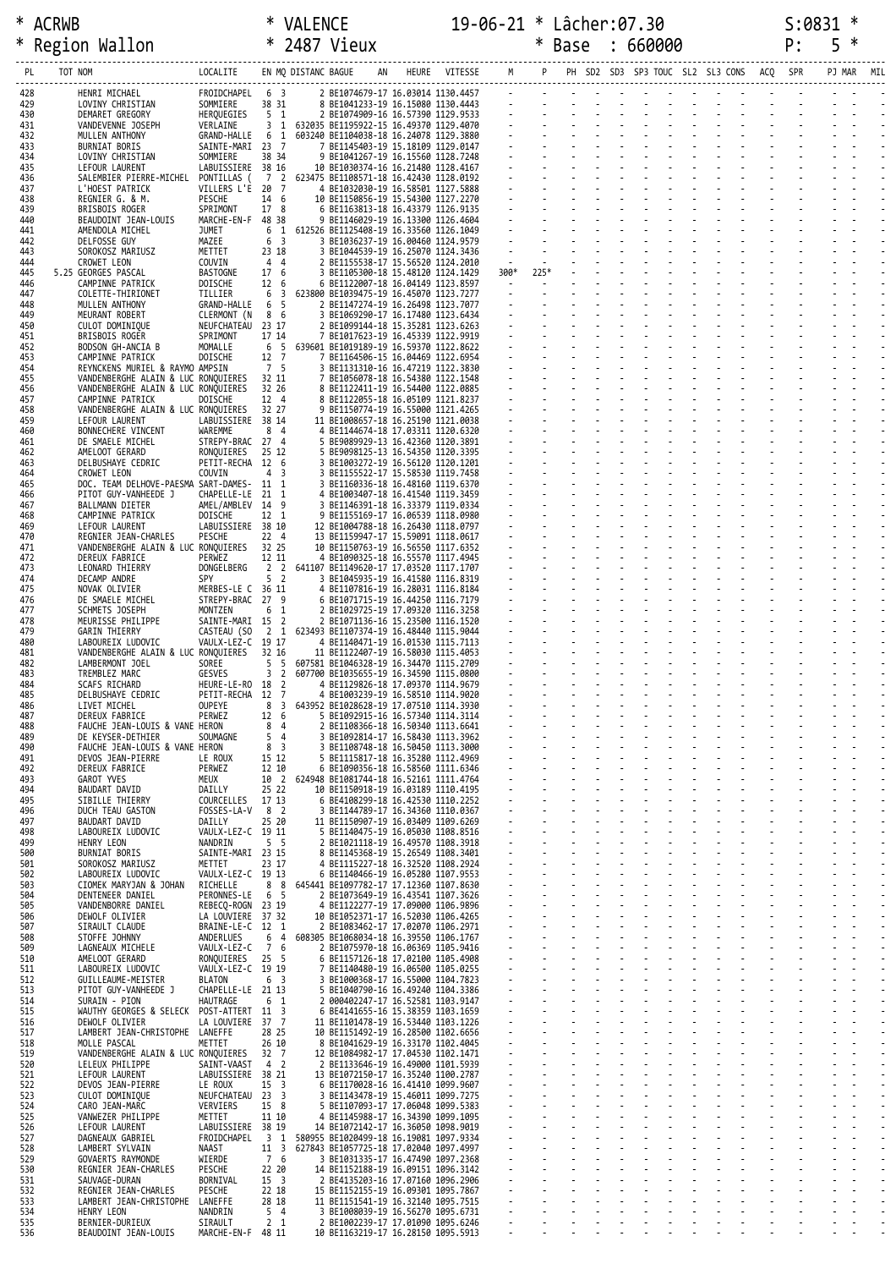| *          |                                                                              |                                        |                                            |                                                                                                                                                                                                                                                                        |  | 19-06-21 * Lâcher:07.30 |  |  |  |                                                                                                                                                                                                                                                                                                       | S:0831 |   |  |
|------------|------------------------------------------------------------------------------|----------------------------------------|--------------------------------------------|------------------------------------------------------------------------------------------------------------------------------------------------------------------------------------------------------------------------------------------------------------------------|--|-------------------------|--|--|--|-------------------------------------------------------------------------------------------------------------------------------------------------------------------------------------------------------------------------------------------------------------------------------------------------------|--------|---|--|
| $\ast$     | ALRWB * VALENCE 19-06-21<br>Region Wallon * 2487 Vieux * 2008                |                                        |                                            |                                                                                                                                                                                                                                                                        |  |                         |  |  |  | * Base : 660000 P:                                                                                                                                                                                                                                                                                    |        | 5 |  |
| PL         | TOT NOM                                                                      |                                        |                                            |                                                                                                                                                                                                                                                                        |  |                         |  |  |  |                                                                                                                                                                                                                                                                                                       |        |   |  |
|            |                                                                              |                                        |                                            |                                                                                                                                                                                                                                                                        |  |                         |  |  |  |                                                                                                                                                                                                                                                                                                       |        |   |  |
| 428<br>429 | HENRI MICHAEL<br>LOVINY CHRISTIAN<br>DEMARET GREGORY                         | FROIDCHAPEL 6 3<br>SOMMIERE 38 31      | 38 31<br>5 1                               | 1. (2011)<br>1. (2012)<br>1. (2012)<br>1. (2012)<br>1. (2012)<br>1. (2012)<br>1. (2012)<br>1. (2012)<br>1. (2012)<br>1. (2012)<br>1. (2012)<br>1. (2012)<br>1. (2012)<br>1. (2012)<br>1. (2012)<br>1. (2012)<br>1. (2012)<br>1. (2013)<br>1. (2013)<br>1. (2013)<br>1. |  |                         |  |  |  |                                                                                                                                                                                                                                                                                                       |        |   |  |
| 430<br>431 | VANDEVENNE JOSEPH                                                            | HERQUEGIES<br>VERLAINE                 |                                            |                                                                                                                                                                                                                                                                        |  |                         |  |  |  |                                                                                                                                                                                                                                                                                                       |        |   |  |
| 432<br>433 | MULLEN ANTHONY<br>BURNIAT BORIS                                              | SAINTE-MARI 23 7                       |                                            | GRAND-HALLE 6 1 603240 BE1104038-18 16.24078 1129.3880                                                                                                                                                                                                                 |  |                         |  |  |  |                                                                                                                                                                                                                                                                                                       |        |   |  |
| 434        | LOVINY CHRISTIAN                                                             | SOMMIERE                               |                                            |                                                                                                                                                                                                                                                                        |  |                         |  |  |  |                                                                                                                                                                                                                                                                                                       |        |   |  |
| 435<br>436 | LEFOUR LAURENT<br>SALEMBIER PIERRE-MICHEL                                    | LABUISSIERE 38 16                      |                                            | PONTILLAS ( 7 2 623475 BE1108571-18 16.42430 1128.0192                                                                                                                                                                                                                 |  |                         |  |  |  |                                                                                                                                                                                                                                                                                                       |        |   |  |
| 437<br>438 | L'HOEST PATRICK<br>REGNIER G. & M.                                           | VILLERS L'E 20 7<br>PESCHE             |                                            |                                                                                                                                                                                                                                                                        |  |                         |  |  |  |                                                                                                                                                                                                                                                                                                       |        |   |  |
| 439        | BRISBOIS ROGER                                                               | SPRIMONT                               | 17 8                                       |                                                                                                                                                                                                                                                                        |  |                         |  |  |  |                                                                                                                                                                                                                                                                                                       |        |   |  |
| 440<br>441 | BEAUDOINT JEAN-LOUIS<br>AMENDOLA MICHEL                                      | MARCHE-EN-F 48 38<br><b>JUMET</b>      |                                            |                                                                                                                                                                                                                                                                        |  |                         |  |  |  |                                                                                                                                                                                                                                                                                                       |        |   |  |
| 442<br>443 | DELFOSSE GUY<br>SOROKOSZ MARIUSZ                                             | MAZEE<br>METTET                        | 23 18                                      |                                                                                                                                                                                                                                                                        |  |                         |  |  |  |                                                                                                                                                                                                                                                                                                       |        |   |  |
| 444        | CROWET LEON                                                                  | COUVIN                                 | 4 4                                        | 2 BE1155538-17 15.56520 1124.2010                                                                                                                                                                                                                                      |  |                         |  |  |  | $300*$ $225*$ $\frac{1}{200}$ $\frac{1}{200}$ $\frac{1}{200}$ $\frac{1}{200}$ $\frac{1}{200}$ $\frac{1}{200}$ $\frac{1}{200}$ $\frac{1}{200}$ $\frac{1}{200}$ $\frac{1}{200}$ $\frac{1}{200}$ $\frac{1}{200}$ $\frac{1}{200}$ $\frac{1}{200}$ $\frac{1}{200}$ $\frac{1}{200}$ $\frac{1}{200}$ $\frac$ |        |   |  |
| 445<br>446 | 5.25 GEORGES PASCAL<br>CAMPINNE PATRICK                                      | BASTOGNE<br>DOISCHE                    | 17 6<br>12 6                               | 3 BE1105300-18 15.48120 1124.1429<br>6 BE1122007-18 16.04149 1123.8597                                                                                                                                                                                                 |  |                         |  |  |  |                                                                                                                                                                                                                                                                                                       |        |   |  |
| 447<br>448 | COLETTE-THIRIONET<br>MULLEN ANTHONY                                          | TILLIER<br>GRAND-HALLE                 | 6 5                                        | 6 3 623800 BE1039475-19 16.45070 1123.7277<br>2 BE1147274-19 16.26498 1123.7077                                                                                                                                                                                        |  |                         |  |  |  |                                                                                                                                                                                                                                                                                                       |        |   |  |
| 449        | MEURANT ROBERT                                                               | CLERMONT (N 8 6                        |                                            | 3 BE1069290-17 16.17480 1123.6434<br>2 BE1099144-18 15.35281 1123.6263                                                                                                                                                                                                 |  |                         |  |  |  |                                                                                                                                                                                                                                                                                                       |        |   |  |
| 450<br>451 | CULOT DOMINIQUE<br>BRISBOIS ROGER                                            | NEUFCHATEAU 23 17<br>SPRIMONT          | 17 14                                      | 7 BE1017623-19 16.45339 1122.9919                                                                                                                                                                                                                                      |  |                         |  |  |  |                                                                                                                                                                                                                                                                                                       |        |   |  |
| 452<br>453 | BODSON GH-ANCIA B<br>CAMPINNE PATRICK                                        | MOMALLE<br>DOISCHE                     | 12 7                                       | 6 5 639601 BE1019189-19 16.59370 1122.8622<br>7 BE1164506-15 16.04469 1122.6954                                                                                                                                                                                        |  |                         |  |  |  |                                                                                                                                                                                                                                                                                                       |        |   |  |
| 454<br>455 | REYNCKENS MURIEL & RAYMO AMPSIN<br>VANDENBERGHE ALAIN & LUC RONQUIERES 32 11 |                                        | 7 5                                        | 3 BE1131310-16 16.47219 1122.3830<br>7 BE1056078-18 16.54380 1122.1548                                                                                                                                                                                                 |  |                         |  |  |  |                                                                                                                                                                                                                                                                                                       |        |   |  |
| 456        | VANDENBERGHE ALAIN & LUC RONOUIERES                                          |                                        | 32 26                                      | 8 BE1122411-19 16.54400 1122.0885                                                                                                                                                                                                                                      |  |                         |  |  |  |                                                                                                                                                                                                                                                                                                       |        |   |  |
| 457<br>458 | CAMPINNE PATRICK<br>VANDENBERGHE ALAIN & LUC RONQUIERES 32 27                | DOISCHE                                | 12 4                                       | 8 BE1122055-18 16.05109 1121.8237<br>9 BE1150774-19 16.55000 1121.4265                                                                                                                                                                                                 |  |                         |  |  |  |                                                                                                                                                                                                                                                                                                       |        |   |  |
| 459        | LEFOUR LAURENT                                                               | LABUISSIERE 38 14                      | 8 <sub>4</sub>                             | 11 BE1008657-18 16.25190 1121.0038                                                                                                                                                                                                                                     |  |                         |  |  |  |                                                                                                                                                                                                                                                                                                       |        |   |  |
| 460<br>461 | BONNECHERE VINCENT<br>DE SMAELE MICHEL                                       | WAREMME<br>STREPY-BRAC 27 4            |                                            | 4 BE1144674-18 17.03311 1120.6320<br>5 BE9089929-13 16.42360 1120.3891                                                                                                                                                                                                 |  |                         |  |  |  |                                                                                                                                                                                                                                                                                                       |        |   |  |
| 462<br>463 | AMELOOT GERARD<br>DELBUSHAYE CEDRIC                                          | RONQUIERES 25 12<br>PETIT-RECHA 12 6   |                                            | 5 BE9098125-13 16.54350 1120.3395<br>3 BE1003272-19 16.56120 1120.1201                                                                                                                                                                                                 |  |                         |  |  |  |                                                                                                                                                                                                                                                                                                       |        |   |  |
| 464        | CROWET LEON                                                                  | COUVIN                                 | 4 3                                        | 3 BE1155522-17 15.58530 1119.7458                                                                                                                                                                                                                                      |  |                         |  |  |  |                                                                                                                                                                                                                                                                                                       |        |   |  |
| 465<br>466 | DOC. TEAM DELHOVE-PAESMA SART-DAMES- 11 1<br>PITOT GUY-VANHEEDE J            | CHAPELLE-LE 21 1                       |                                            | 3 BE1160336-18 16.48160 1119.6370<br>4 BE1003407-18 16.41540 1119.3459                                                                                                                                                                                                 |  |                         |  |  |  |                                                                                                                                                                                                                                                                                                       |        |   |  |
| 467<br>468 | BALLMANN DIETER<br>CAMPINNE PATRICK                                          | AMEL/AMBLEV 14 9<br>DOISCHE            | 12 1                                       | 3 BE1146391-18 16.33379 1119.0334<br>9 BE1155169-17 16.06539 1118.0980                                                                                                                                                                                                 |  |                         |  |  |  |                                                                                                                                                                                                                                                                                                       |        |   |  |
| 469        | LEFOUR LAURENT                                                               | LABUISSIERE 38 10                      |                                            | 12 BE1004788-18 16.26430 1118.0797                                                                                                                                                                                                                                     |  |                         |  |  |  |                                                                                                                                                                                                                                                                                                       |        |   |  |
| 470<br>471 | REGNIER JEAN-CHARLES<br>VANDENBERGHE ALAIN & LUC RONQUIERES 32 25            | PESCHE                                 | $22 \t 4$                                  | 13 BE1159947-17 15.59091 1118.0617<br>10 BE1150763-19 16.56550 1117.6352                                                                                                                                                                                               |  |                         |  |  |  |                                                                                                                                                                                                                                                                                                       |        |   |  |
| 472<br>473 | DEREUX FABRICE<br>LEONARD THIERRY                                            | PERWEZ<br>DONGELBERG                   | 12 11                                      | 4 BE1090325-18 16.55570 1117.4945<br>2 2 641107 BE1149620-17 17.03520 1117.1707                                                                                                                                                                                        |  |                         |  |  |  |                                                                                                                                                                                                                                                                                                       |        |   |  |
| 474        | DECAMP ANDRE                                                                 | SPY                                    | 5 <sub>2</sub>                             | 3 BE1045935-19 16.41580 1116.8319                                                                                                                                                                                                                                      |  |                         |  |  |  |                                                                                                                                                                                                                                                                                                       |        |   |  |
| 475<br>476 | NOVAK OLIVIER<br>DE SMAELE MICHEL                                            | MERBES-LE C 36 11<br>STREPY-BRAC 27 9  |                                            | 4 BE1107816-19 16.28031 1116.8184<br>6 BE1071715-19 16.44250 1116.7179                                                                                                                                                                                                 |  |                         |  |  |  |                                                                                                                                                                                                                                                                                                       |        |   |  |
| 477<br>478 | SCHMETS JOSEPH<br>MEURISSE PHILIPPE                                          | MONTZEN<br>SAINTE-MARI 15 2            | 6 1                                        | 2 BE1029725-19 17.09320 1116.3258<br>2 BE1071136-16 15.23500 1116.1520                                                                                                                                                                                                 |  |                         |  |  |  |                                                                                                                                                                                                                                                                                                       |        |   |  |
| 479        | <b>GARIN THIERRY</b>                                                         |                                        |                                            | CASTEAU (S0 2 1 623493 BE1107374-19 16.48440 1115.9044                                                                                                                                                                                                                 |  |                         |  |  |  |                                                                                                                                                                                                                                                                                                       |        |   |  |
| 480<br>481 | LABOUREIX LUDOVIC<br>VANDENBERGHE ALAIN & LUC RONQUIERES 32 16               | VAULX-LEZ-C 19 17                      |                                            | 4 BE1140471-19 16.01530 1115.7113<br>11 BE1122407-19 16.58030 1115.4053                                                                                                                                                                                                |  |                         |  |  |  |                                                                                                                                                                                                                                                                                                       |        |   |  |
| 482<br>483 | LAMBERMONT JOEL<br>TREMBLEZ MARC                                             | SOREE<br>GESVES                        |                                            | 5 5 607581 BE1046328-19 16.34470 1115.2709<br>3 2 607700 BE1035655-19 16.34590 1115.0800                                                                                                                                                                               |  |                         |  |  |  |                                                                                                                                                                                                                                                                                                       |        |   |  |
| 484        | SCAFS RICHARD                                                                | HEURE-LE-RO 18 2                       |                                            | 4 BE1129826-18 17.09370 1114.9679                                                                                                                                                                                                                                      |  |                         |  |  |  |                                                                                                                                                                                                                                                                                                       |        |   |  |
| 485<br>486 | DELBUSHAYE CEDRIC<br>LIVET MICHEL                                            | PETIT-RECHA<br><b>OUPEYE</b>           | 12<br>7<br>8<br>3                          | 4 BE1003239-19 16.58510 1114.9020<br>643952 BE1028628-19 17.07510 1114.3930                                                                                                                                                                                            |  |                         |  |  |  |                                                                                                                                                                                                                                                                                                       |        |   |  |
| 487<br>488 | DEREUX FABRICE<br>FAUCHE JEAN-LOUIS & VANE HERON                             | PERWEZ                                 | 12<br>6<br>8<br>4                          | 5 BE1092915-16 16.57340 1114.3114<br>2 BE1108366-18 16.50340 1113.6641                                                                                                                                                                                                 |  |                         |  |  |  |                                                                                                                                                                                                                                                                                                       |        |   |  |
| 489        | DE KEYSER-DETHIER                                                            | SOUMAGNE                               | 5<br>$\overline{4}$                        | 3 BE1092814-17 16.58430 1113.3962                                                                                                                                                                                                                                      |  |                         |  |  |  |                                                                                                                                                                                                                                                                                                       |        |   |  |
| 490<br>491 | FAUCHE JEAN-LOUIS & VANE HERON<br>DEVOS JEAN-PIERRE                          | LE ROUX                                | 8 <sup>3</sup><br>15 12                    | 3 BE1108748-18 16.50450 1113.3000<br>5 BE1115817-18 16.35280 1112.4969                                                                                                                                                                                                 |  |                         |  |  |  |                                                                                                                                                                                                                                                                                                       |        |   |  |
| 492<br>493 | DEREUX FABRICE<br>GAROT YVES                                                 | PERWEZ<br>MEUX                         | 12 10<br>10 2                              | 6 BE1090356-18 16.58560 1111.6346<br>624948 BE1081744-18 16.52161 1111.4764                                                                                                                                                                                            |  |                         |  |  |  |                                                                                                                                                                                                                                                                                                       |        |   |  |
| 494        | <b>BAUDART DAVID</b>                                                         | DAILLY                                 | 25 22                                      | 10 BE1150918-19 16.03189 1110.4195                                                                                                                                                                                                                                     |  |                         |  |  |  |                                                                                                                                                                                                                                                                                                       |        |   |  |
| 495<br>496 | SIBILLE THIERRY<br>DUCH TEAU GASTON                                          | COURCELLES<br>FOSSES-LA-V 8 2          | 17 13                                      | 6 BE4108299-18 16.42530 1110.2252<br>3 BE1144789-17 16.34360 1110.0367                                                                                                                                                                                                 |  |                         |  |  |  |                                                                                                                                                                                                                                                                                                       |        |   |  |
| 497<br>498 | <b>BAUDART DAVID</b><br>LABOUREIX LUDOVIC                                    | DAILLY<br>VAULX-LEZ-C 19 11            | 25 20                                      | 11 BE1150907-19 16.03409 1109.6269<br>5 BE1140475-19 16.05030 1108.8516                                                                                                                                                                                                |  |                         |  |  |  |                                                                                                                                                                                                                                                                                                       |        |   |  |
| 499        | HENRY LEON                                                                   | NANDRIN                                | 5 <sub>5</sub>                             | 2 BE1021118-19 16.49570 1108.3918                                                                                                                                                                                                                                      |  |                         |  |  |  |                                                                                                                                                                                                                                                                                                       |        |   |  |
| 500<br>501 | <b>BURNIAT BORIS</b><br>SOROKOSZ MARIUSZ                                     | SAINTE-MARI 23 15<br>METTET            | 23 17                                      | 8 BE1145368-19 15.26549 1108.3401<br>4 BE1115227-18 16.32520 1108.2924                                                                                                                                                                                                 |  |                         |  |  |  |                                                                                                                                                                                                                                                                                                       |        |   |  |
| 502<br>503 | LABOUREIX LUDOVIC<br>CIOMEK MARYJAN & JOHAN                                  | VAULX-LEZ-C 19 13<br>RICHELLE          | 8 8                                        | 6 BE1140466-19 16.05280 1107.9553<br>645441 BE1097782-17 17.12360 1107.8630                                                                                                                                                                                            |  |                         |  |  |  |                                                                                                                                                                                                                                                                                                       |        |   |  |
| 504        | DENTENEER DANIEL                                                             | PERONNES-LE                            | 6 5                                        | 2 BE1073649-19 16.43541 1107.3626                                                                                                                                                                                                                                      |  |                         |  |  |  |                                                                                                                                                                                                                                                                                                       |        |   |  |
| 505<br>506 | VANDENBORRE DANIEL<br>DEWOLF OLIVIER                                         | REBECQ-ROGN 23 19<br>LA LOUVIERE 37 32 |                                            | 4 BE1122277-19 17.09000 1106.9896<br>10 BE1052371-17 16.52030 1106.4265                                                                                                                                                                                                |  |                         |  |  |  |                                                                                                                                                                                                                                                                                                       |        |   |  |
| 507<br>508 | SIRAULT CLAUDE<br>STOFFE JOHNNY                                              | BRAINE-LE-C 12 1<br>ANDERLUES          | 6<br>4                                     | 2 BE1083462-17 17.02070 1106.2971<br>608305 BE1068034-18 16.39550 1106.1767                                                                                                                                                                                            |  |                         |  |  |  |                                                                                                                                                                                                                                                                                                       |        |   |  |
| 509        | LAGNEAUX MICHELE                                                             | VAULX-LEZ-C                            | 7<br>6                                     | 2 BE1075970-18 16.06369 1105.9416                                                                                                                                                                                                                                      |  |                         |  |  |  |                                                                                                                                                                                                                                                                                                       |        |   |  |
| 510<br>511 | AMELOOT GERARD<br>LABOUREIX LUDOVIC                                          | RONQUIERES<br>VAULX-LEZ-C 19 19        | 25 <sub>5</sub>                            | 6 BE1157126-18 17.02100 1105.4908<br>7 BE1140480-19 16.06500 1105.0255                                                                                                                                                                                                 |  |                         |  |  |  |                                                                                                                                                                                                                                                                                                       |        |   |  |
| 512<br>513 | GUILLEAUME-MEISTER<br>PITOT GUY-VANHEEDE J                                   | <b>BLATON</b><br>CHAPELLE-LE 21 13     | 6 3                                        | 3 BE1000368-17 16.55000 1104.7823<br>5 BE1040790-16 16.49240 1104.3386                                                                                                                                                                                                 |  |                         |  |  |  |                                                                                                                                                                                                                                                                                                       |        |   |  |
| 514        | SURAIN - PION                                                                | HAUTRAGE                               | 6 1                                        | 2 000402247-17 16.52581 1103.9147                                                                                                                                                                                                                                      |  |                         |  |  |  |                                                                                                                                                                                                                                                                                                       |        |   |  |
| 515<br>516 | WAUTHY GEORGES & SELECK<br>DEWOLF OLIVIER                                    | POST-ATTERT 11<br>LA LOUVIERE 37 7     | $\overline{\mathbf{3}}$                    | 6 BE4141655-16 15.38359 1103.1659<br>11 BE1101478-19 16.53440 1103.1226                                                                                                                                                                                                |  |                         |  |  |  |                                                                                                                                                                                                                                                                                                       |        |   |  |
| 517<br>518 | LAMBERT JEAN-CHRISTOPHE<br>MOLLE PASCAL                                      | LANEFFE<br>METTET                      | 28 25<br>26 10                             | 10 BE1151492-19 16.28500 1102.6656<br>8 BE1041629-19 16.33170 1102.4045                                                                                                                                                                                                |  |                         |  |  |  |                                                                                                                                                                                                                                                                                                       |        |   |  |
| 519        | VANDENBERGHE ALAIN & LUC RONQUIERES                                          |                                        | 32 7                                       | 12 BE1084982-17 17.04530 1102.1471                                                                                                                                                                                                                                     |  |                         |  |  |  |                                                                                                                                                                                                                                                                                                       |        |   |  |
| 520<br>521 | LELEUX PHILIPPE<br>LEFOUR LAURENT                                            | SAINT-VAAST<br>LABUISSIERE 38 21       | 4 2                                        | 2 BE1133646-19 16.49000 1101.5939<br>13 BE1072150-17 16.35240 1100.2787                                                                                                                                                                                                |  |                         |  |  |  |                                                                                                                                                                                                                                                                                                       |        |   |  |
| 522<br>523 | DEVOS JEAN-PIERRE<br>CULOT DOMINIQUE                                         | LE ROUX<br>NEUFCHATEAU 23              | 15 <sup>3</sup><br>$\overline{\mathbf{3}}$ | 6 BE1170028-16 16.41410 1099.9607<br>3 BE1143478-19 15.46011 1099.7275                                                                                                                                                                                                 |  |                         |  |  |  |                                                                                                                                                                                                                                                                                                       |        |   |  |
| 524        | CARO JEAN-MARC                                                               | VERVIERS                               | 15 8                                       | 5 BE1107093-17 17.06048 1099.5383                                                                                                                                                                                                                                      |  |                         |  |  |  |                                                                                                                                                                                                                                                                                                       |        |   |  |
| 525<br>526 | VANWEZER PHILIPPE<br>LEFOUR LAURENT                                          | METTET<br>LABUISSIERE 38 19            | 11 10                                      | 4 BE1145988-17 16.34390 1099.1095<br>14 BE1072142-17 16.36050 1098.9019                                                                                                                                                                                                |  |                         |  |  |  |                                                                                                                                                                                                                                                                                                       |        |   |  |
| 527<br>528 | DAGNEAUX GABRIEL<br>LAMBERT SYLVAIN                                          | FROIDCHAPEL 3 1<br>NAAST               | 11 <sup>3</sup>                            | 580955 BE1020499-18 16.19081 1097.9334<br>627843 BE1057725-18 17.02040 1097.4997                                                                                                                                                                                       |  |                         |  |  |  |                                                                                                                                                                                                                                                                                                       |        |   |  |
| 529        | GOVAERTS RAYMONDE                                                            | WIERDE                                 | 7 6                                        | 3 BE1031335-17 16.47490 1097.2368                                                                                                                                                                                                                                      |  |                         |  |  |  |                                                                                                                                                                                                                                                                                                       |        |   |  |
| 530<br>531 | REGNIER JEAN-CHARLES<br>SAUVAGE-DURAN                                        | PESCHE<br>BORNIVAL                     | 22 20<br>15 <sup>3</sup>                   | 14 BE1152188-19 16.09151 1096.3142<br>2 BE4135203-16 17.07160 1096.2906                                                                                                                                                                                                |  |                         |  |  |  |                                                                                                                                                                                                                                                                                                       |        |   |  |
| 532<br>533 | REGNIER JEAN-CHARLES<br>LAMBERT JEAN-CHRISTOPHE                              | PESCHE<br>LANEFFE                      | 22 18<br>28 18                             | 15 BE1152155-19 16.09301 1095.7867<br>11 BE1151541-19 16.32140 1095.7515                                                                                                                                                                                               |  |                         |  |  |  |                                                                                                                                                                                                                                                                                                       |        |   |  |
| 534        | HENRY LEON                                                                   | NANDRIN                                | 5 <sub>4</sub>                             | 3 BE1008039-19 16.56270 1095.6731                                                                                                                                                                                                                                      |  |                         |  |  |  |                                                                                                                                                                                                                                                                                                       |        |   |  |
| 535<br>536 | BERNIER-DURIEUX<br>BEAUDOINT JEAN-LOUIS                                      | SIRAULT<br>MARCHE-EN-F 48 11           | 2 <sub>1</sub>                             | 2 BE1002239-17 17.01090 1095.6246<br>10 BE1163219-17 16.28150 1095.5913                                                                                                                                                                                                |  |                         |  |  |  |                                                                                                                                                                                                                                                                                                       |        |   |  |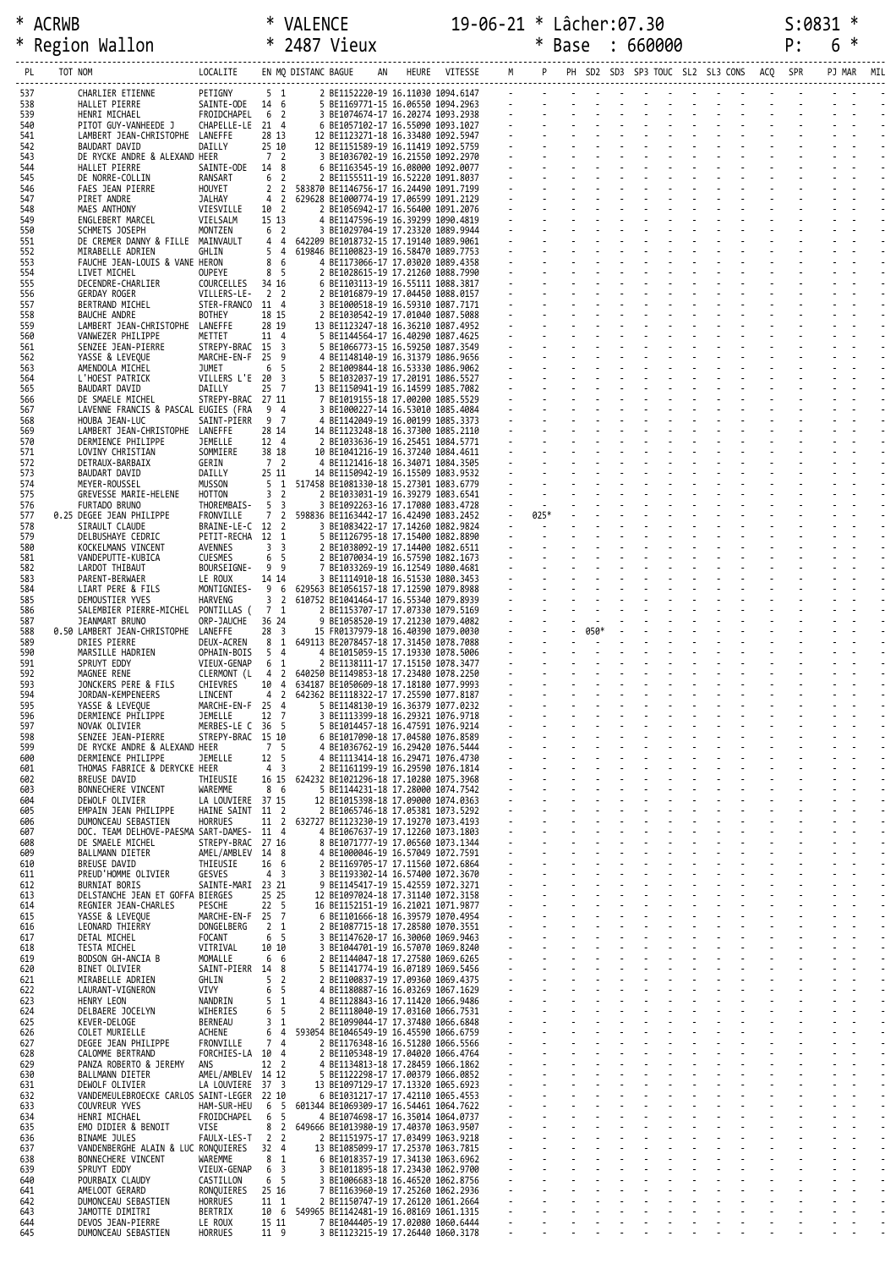## \* ACRWB \* VALENCE 19-06-21 \* Lâcher:07.30 S:0831 \* \* Region Wallon \* 2487 Vieux \* Base : 660000 P: 6 \* ------------------------------------------------------------------------------------------------------------------------------------------------------------------------------------

| PL         | TOT NOM                                                      | LOCALITE                      |                                  | EN MQ DISTANC BAGUE |                                                                                  | AN | HEURE | VITESSE | M |        |          |  |  | PH SD2 SD3 SP3 TOUC SL2 SL3 CONS | ACQ | SPR | PJ MAR | MIL |
|------------|--------------------------------------------------------------|-------------------------------|----------------------------------|---------------------|----------------------------------------------------------------------------------|----|-------|---------|---|--------|----------|--|--|----------------------------------|-----|-----|--------|-----|
| 537<br>538 | CHARLIER ETIENNE<br>HALLET PIERRE                            | PETIGNY<br>SAINTE-ODE 14 6    | 5 1                              |                     | 2 BE1152220-19 16.11030 1094.6147<br>5 BE1169771-15 16.06550 1094.2963           |    |       |         |   |        |          |  |  |                                  |     |     |        |     |
| 539        | HENRI MICHAEL                                                | FROIDCHAPEL                   | 6 2                              |                     | 3 BE1074674-17 16.20274 1093.2938                                                |    |       |         |   |        |          |  |  |                                  |     |     |        |     |
| 540<br>541 | PITOT GUY-VANHEEDE J<br>LAMBERT JEAN-CHRISTOPHE LANEFFE      | CHAPELLE-LE 21 4              | 28 13                            |                     | 6 BE1057102-17 16.55090 1093.1027<br>12 BE1123271-18 16.33480 1092.5947          |    |       |         |   |        |          |  |  |                                  |     |     |        |     |
| 542        | BAUDART DAVID                                                | DAILLY                        | 25 10                            |                     | 12 BE1151589-19 16.11419 1092.5759                                               |    |       |         |   |        |          |  |  |                                  |     |     |        |     |
| 543<br>544 | DE RYCKE ANDRE & ALEXAND HEER<br>HALLET PIERRE               | SAINTE-ODE                    | 7 <sup>2</sup><br>14 8           |                     | 3 BE1036702-19 16.21550 1092.2970<br>6 BE1163545-19 16.08000 1092.0077           |    |       |         |   |        |          |  |  |                                  |     |     |        |     |
| 545        | DE NORRE-COLLIN                                              | RANSART                       | 6 <sup>2</sup>                   |                     | 2 BE1155511-19 16.52220 1091.8037                                                |    |       |         |   |        |          |  |  |                                  |     |     |        |     |
| 546<br>547 | FAES JEAN PIERRE<br>PIRET ANDRE                              | HOUYET<br>JALHAY              | 2 <sub>2</sub><br>4              | $\overline{2}$      | 583870 BE1146756-17 16.24490 1091.7199<br>629628 BE1000774-19 17.06599 1091.2129 |    |       |         |   |        |          |  |  |                                  |     |     |        |     |
| 548<br>549 | MAES ANTHONY<br>ENGLEBERT MARCEL                             | VIESVILLE<br>VIELSALM         | 10 2<br>15 13                    |                     | 2 BE1056942-17 16.56400 1091.2076<br>4 BE1147596-19 16.39299 1090.4819           |    |       |         |   |        |          |  |  |                                  |     |     |        |     |
| 550        | SCHMETS JOSEPH                                               | MONTZEN                       | 6 2                              |                     | 3 BE1029704-19 17.23320 1089.9944                                                |    |       |         |   |        |          |  |  |                                  |     |     |        |     |
| 551<br>552 | DE CREMER DANNY & FILLE MAINVAULT<br>MIRABELLE ADRIEN        | GHLIN                         | 44<br>5                          | $\overline{4}$      | 642209 BE1018732-15 17.19140 1089.9061<br>619846 BE1100823-19 16.58470 1089.7753 |    |       |         |   |        |          |  |  |                                  |     |     |        |     |
| 553        | FAUCHE JEAN-LOUIS & VANE HERON                               |                               | 8                                | -6                  | 4 BE1173066-17 17.03020 1089.4358                                                |    |       |         |   |        |          |  |  |                                  |     |     |        |     |
| 554<br>555 | LIVET MICHEL<br>DECENDRE-CHARLIER                            | <b>OUPEYE</b><br>COURCELLES   | 8 5<br>34 16                     |                     | 2 BE1028615-19 17.21260 1088.7990<br>6 BE1103113-19 16.55111 1088.3817           |    |       |         |   |        |          |  |  |                                  |     |     |        |     |
| 556        | GERDAY ROGER                                                 | VILLERS-LE-                   | 2 <sub>2</sub>                   |                     | 2 BE1016879-19 17.04450 1088.0157                                                |    |       |         |   |        |          |  |  |                                  |     |     |        |     |
| 557<br>558 | BERTRAND MICHEL<br><b>BAUCHE ANDRE</b>                       | STER-FRANCO 11 4<br>BOTHEY    | 18 15                            |                     | 3 BE1000518-19 16.59310 1087.7171<br>2 BE1030542-19 17.01040 1087.5088           |    |       |         |   |        |          |  |  |                                  |     |     |        |     |
| 559<br>560 | LAMBERT JEAN-CHRISTOPHE LANEFFE<br>VANWEZER PHILIPPE         | METTET                        | 28 19<br>11 4                    |                     | 13 BE1123247-18 16.36210 1087.4952<br>5 BE1144564-17 16.40290 1087.4625          |    |       |         |   |        |          |  |  |                                  |     |     |        |     |
| 561        | SENZEE JEAN-PIERRE                                           | STREPY-BRAC 15 3              |                                  |                     | 5 BE1066773-15 16.59250 1087.3549                                                |    |       |         |   |        |          |  |  |                                  |     |     |        |     |
| 562<br>563 | YASSE & LEVEQUE<br>AMENDOLA MICHEL                           | MARCHE-EN-F 25 9<br>JUMET     | 6 <sub>5</sub>                   |                     | 4 BE1148140-19 16.31379 1086.9656<br>2 BE1009844-18 16.53330 1086.9062           |    |       |         |   |        |          |  |  |                                  |     |     |        |     |
| 564        | L'HOEST PATRICK                                              | VILLERS L'E 20 3              |                                  |                     | 5 BE1032037-19 17.20191 1086.5527                                                |    |       |         |   |        |          |  |  |                                  |     |     |        |     |
| 565<br>566 | BAUDART DAVID<br>DE SMAELE MICHEL                            | DAILLY<br>STREPY-BRAC 27 11   | $25 \quad 7$                     |                     | 13 BE1150941-19 16.14599 1085.7082<br>7 BE1019155-18 17.00200 1085.5529          |    |       |         |   |        |          |  |  |                                  |     |     |        |     |
| 567        | LAVENNE FRANCIS & PASCAL EUGIES (FRA                         |                               | 9 4<br>9 7                       |                     | 3 BE1000227-14 16.53010 1085.4084                                                |    |       |         |   |        |          |  |  |                                  |     |     |        |     |
| 568<br>569 | HOUBA JEAN-LUC<br>LAMBERT JEAN-CHRISTOPHE LANEFFE            | SAINT-PIERR                   | 28 14                            |                     | 4 BE1142049-19 16.00199 1085.3373<br>14 BE1123248-18 16.37300 1085.2110          |    |       |         |   |        |          |  |  |                                  |     |     |        |     |
| 570<br>571 | DERMIENCE PHILIPPE<br>LOVINY CHRISTIAN                       | JEMELLE<br>SOMMIERE           | 12 4<br>38 18                    |                     | 2 BE1033636-19 16.25451 1084.5771<br>10 BE1041216-19 16.37240 1084.4611          |    |       |         |   |        |          |  |  |                                  |     |     |        |     |
| 572        | DETRAUX-BARBAIX                                              | GERIN                         | 7 2                              |                     | 4 BE1121416-18 16.34071 1084.3505                                                |    |       |         |   |        |          |  |  |                                  |     |     |        |     |
| 573<br>574 | BAUDART DAVID<br>MEYER-ROUSSEL                               | DAILLY<br><b>MUSSON</b>       | 25 11<br>5                       | 1                   | 14 BE1150942-19 16.15509 1083.9532<br>517458 BE1081330-18 15.27301 1083.6779     |    |       |         |   |        |          |  |  |                                  |     |     |        |     |
| 575        | GREVESSE MARIE-HELENE                                        | HOTTON                        | 3 <sub>2</sub>                   |                     | 2 BE1033031-19 16.39279 1083.6541                                                |    |       |         |   |        |          |  |  |                                  |     |     |        |     |
| 576<br>577 | FURTADO BRUNO<br>0.25 DEGEE JEAN PHILIPPE                    | THOREMBAIS-<br>FRONVILLE      | 5 <sub>3</sub><br>7 <sub>2</sub> |                     | 3 BE1092263-16 17.17080 1083.4728<br>598836 BE1163442-17 16.42490 1083.2452      |    |       |         |   | 025*   |          |  |  |                                  |     |     |        |     |
| 578        | SIRAULT CLAUDE                                               | BRAINE-LE-C 12 2              |                                  |                     | 3 BE1083422-17 17.14260 1082.9824                                                |    |       |         |   | $\sim$ |          |  |  |                                  |     |     |        |     |
| 579<br>580 | DELBUSHAYE CEDRIC<br>KOCKELMANS VINCENT                      | PETIT-RECHA 12 1<br>AVENNES   | 3 <sup>3</sup>                   |                     | 5 BE1126795-18 17.15400 1082.8890<br>2 BE1038092-19 17.14400 1082.6511           |    |       |         |   |        |          |  |  |                                  |     |     |        |     |
| 581<br>582 | VANDEPUTTE-KUBICA<br>LARDOT THIBAUT                          | CUESMES<br>BOURSEIGNE-        | 6 <sub>5</sub><br>99             |                     | 2 BE1070034-19 16.57590 1082.1673<br>7 BE1033269-19 16.12549 1080.4681           |    |       |         |   |        |          |  |  |                                  |     |     |        |     |
| 583        | PARENT-BERWAER                                               | LE ROUX                       | 14 14                            |                     | 3 BE1114910-18 16.51530 1080.3453                                                |    |       |         |   |        |          |  |  |                                  |     |     |        |     |
| 584<br>585 | LIART PERE & FILS<br>DEMOUSTIER YVES                         | MONTIGNIES-<br><b>HARVENG</b> | 9 6<br>3 <sub>2</sub>            |                     | 629563 BE1056157-18 17.12590 1079.8988<br>610752 BE1041464-17 16.55340 1079.8939 |    |       |         |   |        |          |  |  |                                  |     |     |        |     |
| 586        | SALEMBIER PIERRE-MICHEL PONTILLAS (                          |                               | 7 1                              |                     | 2 BE1153707-17 17.07330 1079.5169                                                |    |       |         |   |        |          |  |  |                                  |     |     |        |     |
| 587<br>588 | JEANMART BRUNO<br>0.50 LAMBERT JEAN-CHRISTOPHE LANEFFE       | ORP-JAUCHE                    | 36 24<br>28 <sup>3</sup>         |                     | 9 BE1058520-19 17.21230 1079.4082<br>15 FR0137979-18 16.40390 1079.0030          |    |       |         |   |        | $- 050*$ |  |  |                                  |     |     |        |     |
| 589        | DRIES PIERRE                                                 | DEUX-ACREN                    | 8 1                              |                     | 649113 BE2078457-18 17.31450 1078.7088                                           |    |       |         |   |        |          |  |  |                                  |     |     |        |     |
| 590<br>591 | MARSILLE HADRIEN<br>SPRUYT EDDY                              | OPHAIN-BOIS<br>VIEUX-GENAP    | 5 <sub>4</sub><br>6 1            |                     | 4 BE1015059-15 17.19330 1078.5006<br>2 BE1138111-17 17.15150 1078.3477           |    |       |         |   |        |          |  |  |                                  |     |     |        |     |
| 592<br>593 | MAGNEE RENE<br>JONCKERS PERE & FILS                          | CLERMONT (L<br>CHIEVRES       | $\overline{4}$<br>10 4           | $\overline{2}$      | 640250 BE1149853-18 17.23480 1078.2250<br>634187 BE1050609-18 17.18180 1077.9993 |    |       |         |   |        |          |  |  |                                  |     |     |        |     |
| 594        | JORDAN-KEMPENEERS                                            | LINCENT                       | 4 2                              |                     | 642362 BE1118322-17 17.25590 1077.8187                                           |    |       |         |   |        |          |  |  |                                  |     |     |        |     |
| 595<br>596 | YASSE & LEVEQUE<br>DERMIENCE PHILIPPE                        | MARCHE-EN-F 25 4<br>JEMELLE   | 12 7                             |                     | 5 BE1148130-19 16.36379 1077.0232<br>3 BE1113399-18 16.29321 1076.9718           |    |       |         |   |        |          |  |  |                                  |     |     |        |     |
| 597        | NOVAK OLIVIER                                                | MERBES-LE C 36 5              |                                  |                     | 5 BE1014457-18 16.47591 1076.9214                                                |    |       |         |   |        |          |  |  |                                  |     |     |        |     |
| 598<br>599 | SENZEE JEAN-PIERRE<br>DE RYCKE ANDRE & ALEXAND HEER          | STREPY-BRAC 15 10             | 7 <sub>5</sub>                   |                     | 6 BE1017090-18 17.04580 1076.8589<br>4 BE1036762-19 16.29420 1076.5444           |    |       |         |   |        |          |  |  |                                  |     |     |        |     |
| 600        | DERMIENCE PHILIPPE                                           | JEMELLE                       | 12 5                             |                     | 4 BE1113414-18 16.29471 1076.4730                                                |    |       |         |   |        |          |  |  |                                  |     |     |        |     |
| 601<br>602 | THOMAS FABRICE & DERYCKE HEER<br>BREUSE DAVID                | THIEUSIE                      | 4 3<br>16 15                     |                     | 2 BE1161199-19 16.29590 1076.1814<br>624232 BE1021296-18 17.10280 1075.3968      |    |       |         |   |        |          |  |  |                                  |     |     |        |     |
| 603<br>604 | BONNECHERE VINCENT<br>DEWOLF OLIVIER                         | WAREMME<br>LA LOUVIERE 37 15  | 8 6                              |                     | 5 BE1144231-18 17.28000 1074.7542<br>12 BE1015398-18 17.09000 1074.0363          |    |       |         |   |        |          |  |  |                                  |     |     |        |     |
| 605        | EMPAIN JEAN PHILIPPE                                         | HAINE SAINT                   | 11 2                             |                     | 2 BE1065746-18 17.05381 1073.5292                                                |    |       |         |   |        |          |  |  |                                  |     |     |        |     |
| 606<br>607 | DUMONCEAU SEBASTIEN<br>DOC. TEAM DELHOVE-PAESMA SART-DAMES-  | <b>HORRUES</b>                | 11 2<br>11 4                     |                     | 632727 BE1123230-19 17.19270 1073.4193<br>4 BE1067637-19 17.12260 1073.1803      |    |       |         |   |        |          |  |  |                                  |     |     |        |     |
| 608        | DE SMAELE MICHEL                                             | STREPY-BRAC                   | 27 16                            |                     | 8 BE1071777-19 17.06560 1073.1344                                                |    |       |         |   |        |          |  |  |                                  |     |     |        |     |
| 609<br>610 | BALLMANN DIETER<br>BREUSE DAVID                              | AMEL/AMBLEV<br>THIEUSIE       | 14 8<br>16 6                     |                     | 4 BE1000046-19 16.57049 1072.7591<br>2 BE1169705-17 17.11560 1072.6864           |    |       |         |   |        |          |  |  |                                  |     |     |        |     |
| 611<br>612 | PREUD'HOMME OLIVIER<br>BURNIAT BORIS                         | GESVES<br>SAINTE-MARI 23 21   | 4 <sub>3</sub>                   |                     | 3 BE1193302-14 16.57400 1072.3670                                                |    |       |         |   |        |          |  |  |                                  |     |     |        |     |
| 613        | DELSTANCHE JEAN ET GOFFA BIERGES                             |                               | 25 25                            |                     | 9 BE1145417-19 15.42559 1072.3271<br>12 BE1097024-18 17.31140 1072.3158          |    |       |         |   |        |          |  |  |                                  |     |     |        |     |
| 614<br>615 | REGNIER JEAN-CHARLES<br>YASSE & LEVEQUE                      | <b>PESCHE</b><br>MARCHE-EN-F  | 22 <sub>5</sub><br>25 7          |                     | 16 BE1152151-19 16.21021 1071.9877<br>6 BE1101666-18 16.39579 1070.4954          |    |       |         |   |        |          |  |  |                                  |     |     |        |     |
| 616        | LEONARD THIERRY                                              | DONGELBERG                    | 2 <sub>1</sub>                   |                     | 2 BE1087715-18 17.28580 1070.3551                                                |    |       |         |   |        |          |  |  |                                  |     |     |        |     |
| 617<br>618 | DETAL MICHEL<br>TESTA MICHEL                                 | <b>FOCANT</b><br>VITRIVAL     | 6 <sub>5</sub><br>10 10          |                     | 3 BE1147620-17 16.30060 1069.9463<br>3 BE1044701-19 16.57070 1069.8240           |    |       |         |   |        |          |  |  |                                  |     |     |        |     |
| 619        | BODSON GH-ANCIA B                                            | MOMALLE                       | 6                                | -6                  | 2 BE1144047-18 17.27580 1069.6265                                                |    |       |         |   |        |          |  |  |                                  |     |     |        |     |
| 620<br>621 | BINET OLIVIER<br>MIRABELLE ADRIEN                            | SAINT-PIERR 14<br>GHLIN       | 5                                | 8<br>$\overline{2}$ | 5 BE1141774-19 16.07189 1069.5456<br>2 BE1100837-19 17.09360 1069.4375           |    |       |         |   |        |          |  |  |                                  |     |     |        |     |
| 622        | LAURANT-VIGNERON                                             | VIVY                          | 6                                | 5                   | 4 BE1180887-16 16.03269 1067.1629                                                |    |       |         |   |        |          |  |  |                                  |     |     |        |     |
| 623<br>624 | HENRY LEON<br>DELBAERE JOCELYN                               | NANDRIN<br>WIHERIES           | 5<br>6                           | 1<br>-5             | 4 BE1128843-16 17.11420 1066.9486<br>2 BE1118040-19 17.03160 1066.7531           |    |       |         |   |        |          |  |  |                                  |     |     |        |     |
| 625<br>626 | KEVER-DELOGE<br>COLET MURIELLE                               | <b>BERNEAU</b><br>ACHENE      | 3<br>6                           | 1<br>$\overline{4}$ | 2 BE1099044-17 17.37480 1066.6848<br>593054 BE1046549-19 16.45590 1066.6759      |    |       |         |   |        |          |  |  |                                  |     |     |        |     |
| 627        | DEGEE JEAN PHILIPPE                                          | FRONVILLE                     | 7                                | $\overline{4}$      | 2 BE1176348-16 16.51280 1066.5566                                                |    |       |         |   |        |          |  |  |                                  |     |     |        |     |
| 628<br>629 | CALOMME BERTRAND<br>PANZA ROBERTO & JEREMY                   | FORCHIES-LA 10<br>ANS         | 12 2                             | $\overline{4}$      | 2 BE1105348-19 17.04020 1066.4764<br>4 BE1134813-18 17.28459 1066.1862           |    |       |         |   |        |          |  |  |                                  |     |     |        |     |
| 630        | BALLMANN DIETER                                              | AMEL/AMBLEV                   | 14 12                            |                     | 5 BE1122298-17 17.00379 1066.0852                                                |    |       |         |   |        |          |  |  |                                  |     |     |        |     |
| 631<br>632 | DEWOLF OLIVIER<br>VANDEMEULEBROECKE CARLOS SAINT-LEGER 22 10 | LA LOUVIERE                   | 37 3                             |                     | 13 BE1097129-17 17.13320 1065.6923<br>6 BE1031217-17 17.42110 1065.4553          |    |       |         |   |        |          |  |  |                                  |     |     |        |     |
| 633        | COUVREUR YVES                                                | HAM-SUR-HEU                   | 6                                | -5                  | 601344 BE1069309-17 16.54461 1064.7622                                           |    |       |         |   |        |          |  |  |                                  |     |     |        |     |
| 634<br>635 | HENRI MICHAEL<br>EMO DIDIER & BENOIT                         | FROIDCHAPEL<br><b>VISE</b>    | 6<br>8                           | 5<br>$\overline{2}$ | 4 BE1074698-17 16.35014 1064.0737<br>649666 BE1013980-19 17.40370 1063.9507      |    |       |         |   |        |          |  |  |                                  |     |     |        |     |
| 636        | BINAME JULES                                                 | FAULX-LES-T                   | $\overline{2}$                   | $\overline{2}$      | 2 BE1151975-17 17.03499 1063.9218                                                |    |       |         |   |        |          |  |  |                                  |     |     |        |     |
| 637<br>638 | VANDENBERGHE ALAIN & LUC RONQUIERES<br>BONNECHERE VINCENT    | WAREMME                       | 32 4<br>8                        | -1                  | 13 BE1085099-17 17.25370 1063.7815<br>6 BE1018357-19 17.34130 1063.6962          |    |       |         |   |        |          |  |  |                                  |     |     |        |     |
| 639<br>640 | SPRUYT EDDY<br>POURBAIX CLAUDY                               | VIEUX-GENAP<br>CASTILLON      | 6<br>6 <sub>5</sub>              | 3                   | 3 BE1011895-18 17.23430 1062.9700<br>3 BE1006683-18 16.46520 1062.8756           |    |       |         |   |        |          |  |  |                                  |     |     |        |     |
| 641        | AMELOOT GERARD                                               | RONQUIERES                    | 25 16                            |                     | 7 BE1163960-19 17.25260 1062.2936                                                |    |       |         |   |        |          |  |  |                                  |     |     |        |     |
| 642<br>643 | DUMONCEAU SEBASTIEN<br>JAMOTTE DIMITRI                       | <b>HORRUES</b><br>BERTRIX     | 11 1<br>10 6                     |                     | 2 BE1150747-19 17.26120 1061.2664<br>549965 BE1142481-19 16.08169 1061.1315      |    |       |         |   |        |          |  |  |                                  |     |     |        |     |
| 644        | DEVOS JEAN-PIERRE                                            | LE ROUX                       | 15 11                            |                     | 7 BE1044405-19 17.02080 1060.6444                                                |    |       |         |   |        |          |  |  |                                  |     |     |        |     |
| 645        | DUMONCEAU SEBASTIEN                                          | <b>HORRUES</b>                | 11 9                             |                     | 3 BE1123215-19 17.26440 1060.3178                                                |    |       |         |   |        |          |  |  |                                  |     |     |        |     |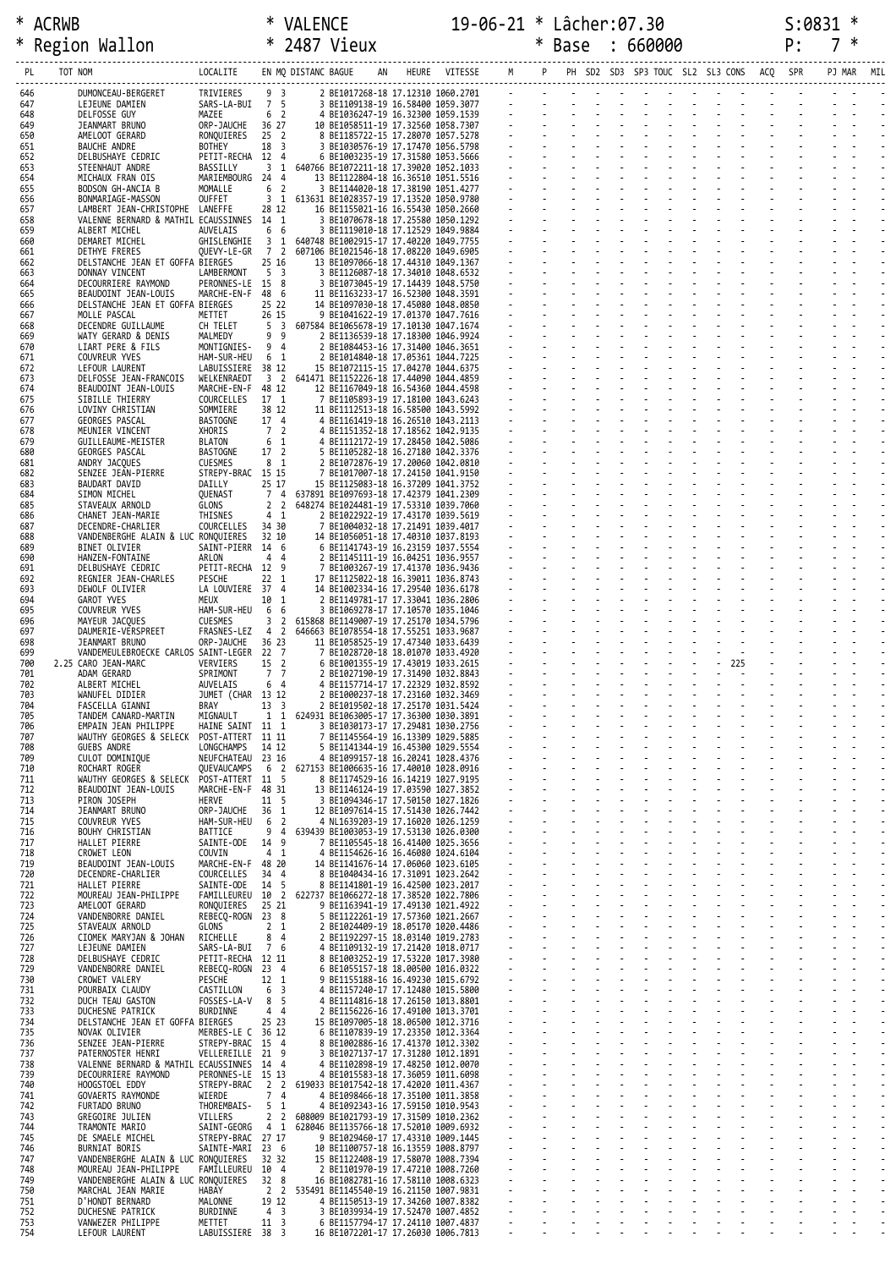|            | Region Wallon                                                        | * 2487 Vieux                          |                                  |                                |                                                                                  | $\ast$                   | Base | 660000 |                                          |     | P: | *      |     |
|------------|----------------------------------------------------------------------|---------------------------------------|----------------------------------|--------------------------------|----------------------------------------------------------------------------------|--------------------------|------|--------|------------------------------------------|-----|----|--------|-----|
| PL         | TOT NOM                                                              | LOCALITE                              |                                  | EN MQ DISTANC BAGUE            |                                                                                  | HEURE VITESSE M          |      |        | PH SD2 SD3 SP3 TOUC SL2 SL3 CONS ACQ SPR |     |    | PJ MAR | MIL |
| 646        | DUMONCEAU-BERGERET                                                   | TRIVIERES                             | 9 <sub>3</sub>                   |                                | 2 BE1017268-18 17.12310 1060.2701                                                |                          |      |        |                                          |     |    |        |     |
| 647<br>648 | LEJEUNE DAMIEN<br>DELFOSSE GUY                                       | SARS-LA-BUI<br>MAZEE                  | 7 5<br>6 <sup>2</sup>            |                                | 3 BE1109138-19 16.58400 1059.3077<br>4 BE1036247-19 16.32300 1059.1539           |                          |      |        |                                          |     |    |        |     |
| 649        | JEANMART BRUNO                                                       | ORP-JAUCHE<br>RONOUIERES              | 36 27<br>$25 \quad 2$            |                                | 10 BE1058511-19 17.32560 1058.7307                                               |                          |      |        |                                          |     |    |        |     |
| 650<br>651 | AMELOOT GERARD<br>BAUCHE ANDRE                                       | <b>BOTHEY</b>                         | 18 3                             |                                | 8 BE1185722-15 17.28070 1057.5278<br>3 BE1030576-19 17.17470 1056.5798           |                          |      |        |                                          |     |    |        |     |
| 652<br>653 | DELBUSHAYE CEDRIC<br>STEENHAUT ANDRE                                 | PETIT-RECHA 12 4<br>BASSILLY          | 3 <sub>1</sub>                   |                                | 6 BE1003235-19 17.31580 1053.5666<br>640766 BE1072211-18 17.39020 1052.1033      |                          |      |        |                                          |     |    |        |     |
| 654        | MICHAUX FRAN OIS                                                     | MARIEMBOURG 24 4                      |                                  |                                | 13 BE1122804-18 16.36510 1051.5516                                               |                          |      |        |                                          |     |    |        |     |
| 655<br>656 | BODSON GH-ANCIA B<br>BONMARIAGE-MASSON                               | MOMALLE<br>OUFFET                     | 6 <sup>2</sup><br>3 <sub>1</sub> |                                | 3 BE1144020-18 17.38190 1051.4277<br>613631 BE1028357-19 17.13520 1050.9780      |                          |      |        |                                          |     |    |        |     |
| 657<br>658 | LAMBERT JEAN-CHRISTOPHE<br>VALENNE BERNARD & MATHIL ECAUSSINNES 14 1 | LANEFFE                               | 28 12                            |                                | 16 BE1155021-16 16.55430 1050.2660<br>3 BE1070678-18 17.25580 1050.1292          |                          |      |        |                                          |     |    |        |     |
| 659        | ALBERT MICHEL<br>DEMARET MICHEL                                      | AUVELAIS                              | 6 6                              |                                | 3 BE1119010-18 17.12529 1049.9884<br>640748 BE1002915-17 17.40220 1049.7755      |                          |      |        |                                          |     |    |        |     |
| 660<br>661 | DETHYE FRERES                                                        | GHISLENGHIE<br>QUEVY-LE-GR            | 3 <sub>1</sub><br>7 2            |                                | 607106 BE1021546-18 17.08220 1049.6905                                           |                          |      |        |                                          |     |    |        |     |
| 662<br>663 | DELSTANCHE JEAN ET GOFFA BIERGES<br>DONNAY VINCENT                   | LAMBERMONT                            | 25 16<br>5 <sub>3</sub>          |                                | 13 BE1097066-18 17.44310 1049.1367<br>3 BE1126087-18 17.34010 1048.6532          |                          |      |        |                                          |     |    |        |     |
| 664        | DECOURRIERE RAYMOND                                                  | PERONNES-LE 15 8                      |                                  |                                | 3 BE1073045-19 17.14439 1048.5750                                                |                          |      |        |                                          |     |    |        |     |
| 665<br>666 | BEAUDOINT JEAN-LOUIS<br>DELSTANCHE JEAN ET GOFFA BIERGES             | MARCHE-EN-F                           | 48 6<br>25 22                    |                                | 11 BE1163233-17 16.52300 1048.3591<br>14 BE1097030-18 17.45080 1048.0850         |                          |      |        |                                          |     |    |        |     |
| 667<br>668 | MOLLE PASCAL<br>DECENDRE GUILLAUME                                   | METTET<br>CH TELET                    | 26 15<br>5                       | $\overline{\mathbf{3}}$        | 9 BE1041622-19 17.01370 1047.7616<br>607584 BE1065678-19 17.10130 1047.1674      |                          |      |        |                                          |     |    |        |     |
| 669        | WATY GERARD & DENIS                                                  | MALMEDY                               | 99                               |                                | 2 BE1136539-18 17.18300 1046.9924                                                |                          |      |        |                                          |     |    |        |     |
| 670<br>671 | LIART PERE & FILS<br>COUVREUR YVES                                   | MONTIGNIES-<br>HAM-SUR-HEU            | 9 4<br>6 1                       |                                | 2 BE1084453-16 17.31400 1046.3651<br>2 BE1014840-18 17.05361 1044.7225           |                          |      |        |                                          |     |    |        |     |
| 672<br>673 | LEFOUR LAURENT<br>DELFOSSE JEAN-FRANCOIS                             | LABUISSIERE<br>WELKENRAEDT            | 38 12                            |                                | 15 BE1072115-15 17.04270 1044.6375<br>3 2 641471 BE1152226-18 17.44090 1044.4859 |                          |      |        |                                          |     |    |        |     |
| 674        | BEAUDOINT JEAN-LOUIS                                                 | MARCHE-EN-F                           | 48 12                            |                                | 12 BE1167049-18 16.54360 1044.4598                                               |                          |      |        |                                          |     |    |        |     |
| 675<br>676 | SIBILLE THIERRY<br>LOVINY CHRISTIAN                                  | COURCELLES<br>SOMMIERE                | 17 1<br>38 12                    |                                | 7 BE1105893-19 17.18100 1043.6243<br>11 BE1112513-18 16.58500 1043.5992          |                          |      |        |                                          |     |    |        |     |
| 677        | GEORGES PASCAL                                                       | <b>BASTOGNE</b>                       | 17 4                             |                                | 4 BE1161419-18 16.26510 1043.2113                                                |                          |      |        |                                          |     |    |        |     |
| 678<br>679 | MEUNIER VINCENT<br>GUILLEAUME-MEISTER                                | XHORIS<br>BLATON                      | 7 2<br>6 1                       |                                | 4 BE1151352-18 17.18562 1042.9135<br>4 BE1112172-19 17.28450 1042.5086           |                          |      |        |                                          |     |    |        |     |
| 680<br>681 | GEORGES PASCAL<br>ANDRY JACQUES                                      | <b>BASTOGNE</b><br>CUESMES            | 17 <sup>2</sup><br>8 1           |                                | 5 BE1105282-18 16.27180 1042.3376<br>2 BE1072876-19 17.20060 1042.0810           |                          |      |        |                                          |     |    |        |     |
| 682        | SENZEE JEAN-PIERRE                                                   | STREPY-BRAC 15 15                     |                                  |                                | 7 BE1017007-18 17.24150 1041.9150                                                |                          |      |        |                                          |     |    |        |     |
| 683<br>684 | BAUDART DAVID<br>SIMON MICHEL                                        | DAILLY<br>QUENAST                     | 25 17<br>74                      |                                | 15 BE1125083-18 16.37209 1041.3752<br>637891 BE1097693-18 17.42379 1041.2309     |                          |      |        |                                          |     |    |        |     |
| 685        | STAVEAUX ARNOLD                                                      | GLONS                                 | 2 <sub>2</sub>                   |                                | 648274 BE1024481-19 17.53310 1039.7060                                           |                          |      |        |                                          |     |    |        |     |
| 686<br>687 | CHANET JEAN-MARIE<br>DECENDRE-CHARLIER                               | THISNES<br>COURCELLES                 | 4 <sub>1</sub><br>34 30          |                                | 2 BE1022922-19 17.43170 1039.5619<br>7 BE1004032-18 17.21491 1039.4017           |                          |      |        |                                          |     |    |        |     |
| 688<br>689 | VANDENBERGHE ALAIN & LUC RONQUIERES                                  | SAINT-PIERR 14 6                      | 32 10                            |                                | 14 BE1056051-18 17.40310 1037.8193                                               |                          |      |        |                                          |     |    |        |     |
| 690        | BINET OLIVIER<br>HANZEN-FONTAINE                                     | ARLON                                 | 44                               |                                | 6 BE1141743-19 16.23159 1037.5554<br>2 BE1145111-19 16.04251 1036.9557           |                          |      |        |                                          |     |    |        |     |
| 691<br>692 | DELBUSHAYE CEDRIC<br>REGNIER JEAN-CHARLES                            | PETIT-RECHA 12 9<br>PESCHE            | $22 \quad 1$                     |                                | 7 BE1003267-19 17.41370 1036.9436<br>17 BE1125022-18 16.39011 1036.8743          |                          |      |        |                                          |     |    |        |     |
| 693        | DEWOLF OLIVIER                                                       | LA LOUVIERE 37 4                      |                                  |                                | 14 BE1002334-16 17.29540 1036.6178                                               |                          |      |        |                                          |     |    |        |     |
| 694<br>695 | GAROT YVES<br>COUVREUR YVES                                          | MEUX<br>HAM-SUR-HEU                   | 10 1<br>6                        | 6                              | 2 BE1149781-17 17.33041 1036.2806<br>3 BE1069278-17 17.10570 1035.1046           |                          |      |        |                                          |     |    |        |     |
| 696<br>697 | MAYEUR JACQUES<br>DAUMERIE-VERSPREET                                 | CUESMES<br>FRASNES-LEZ                | 3 <sub>2</sub><br>4 2            |                                | 615868 BE1149007-19 17.25170 1034.5796<br>646663 BE1078554-18 17.55251 1033.9687 |                          |      |        |                                          |     |    |        |     |
| 698        | JEANMART BRUNO                                                       | ORP-JAUCHE                            | 36 23                            |                                | 11 BE1058525-19 17.47340 1033.6439                                               |                          |      |        |                                          |     |    |        |     |
| 699<br>700 | VANDEMEULEBROECKE CARLOS SAINT-LEGER 22 7<br>2.25 CARO JEAN-MARC     | VERVIERS                              | 15 <sup>2</sup>                  |                                | 7 BE1028720-18 18.01070 1033.4920<br>6 BE1001355-19 17.43019 1033.2615           |                          |      |        |                                          | 225 |    |        |     |
| 701        | ADAM GERARD                                                          | SPRIMONT                              | 7 7                              |                                | 2 BE1027190-19 17.31490 1032.8843                                                |                          |      |        |                                          |     |    |        |     |
| 702<br>703 | ALBERT MICHEL<br>WANUFEL DIDIER                                      | AUVELAIS<br>JUMET (CHAR 13 12         | 6 4                              |                                | 4 BE1157714-17 17.22329 1032.8592<br>2 BE1000237-18 17.23160 1032.3469           |                          |      |        |                                          |     |    |        |     |
| 704<br>705 | <b>FASCELLA GIANNI</b><br>TANDEM CANARD-MARTIN                       | BRAY<br>MIGNAULT                      | 13 <sup>3</sup><br>$1\quad1$     |                                | 2 BE1019502-18 17.25170 1031.5424<br>624931 BE1063005-17 17.36300 1030.3891      |                          |      |        |                                          |     |    |        |     |
| 706        | EMPAIN JEAN PHILIPPE                                                 | HAINE SAINT 11 1                      |                                  |                                | 3 BE1030173-17 17.29481 1030.2756                                                |                          |      |        |                                          |     |    |        |     |
| 707<br>708 | WAUTHY GEORGES & SELECK POST-ATTERT 11 11<br><b>GUEBS ANDRE</b>      | LONGCHAMPS                            | 14 12                            |                                | 7 BE1145564-19 16.13309 1029.5885<br>5 BE1141344-19 16.45300 1029.5554           |                          |      |        |                                          |     |    |        |     |
| 709<br>710 | CULOT DOMINIQUE<br>ROCHART ROGER                                     | NEUFCHATEAU<br><b>QUEVAUCAMPS</b>     | 23 16<br>6 2                     |                                | 4 BE1099157-18 16.20241 1028.4376<br>627153 BE1006635-16 17.40010 1028.0916      |                          |      |        |                                          |     |    |        |     |
| 711        | WAUTHY GEORGES & SELECK POST-ATTERT                                  |                                       | 11 5                             |                                | 8 BE1174529-16 16.14219 1027.9195                                                |                          |      |        |                                          |     |    |        |     |
| 712<br>713 | BEAUDOINT JEAN-LOUIS<br>PIRON JOSEPH                                 | MARCHE-EN-F<br>HERVE                  | 48 31<br>11 5                    |                                | 13 BE1146124-19 17.03590 1027.3852<br>3 BE1094346-17 17.50150 1027.1826          | ÷                        |      |        |                                          |     |    |        |     |
| 714        | JEANMART BRUNO                                                       | ORP-JAUCHE                            | 36 1                             |                                | 12 BE1097614-15 17.51430 1026.7442                                               | $\blacksquare$           |      |        |                                          |     |    |        |     |
| 715<br>716 | COUVREUR YVES<br>BOUHY CHRISTIAN                                     | HAM-SUR-HEU<br>BATTICE                | 6<br>9                           | $\overline{2}$<br>4            | 4 NL1639203-19 17.16020 1026.1259<br>639439 BE1003053-19 17.53130 1026.0300      |                          |      |        |                                          |     |    |        |     |
| 717<br>718 | HALLET PIERRE<br>CROWET LEON                                         | SAINTE-ODE<br>COUVIN                  | 14 9<br>$\overline{4}$           | 1                              | 7 BE1105545-18 16.41400 1025.3656<br>4 BE1154626-16 16.46080 1024.6104           |                          |      |        |                                          |     |    |        |     |
| 719        | BEAUDOINT JEAN-LOUIS                                                 | MARCHE-EN-F 48 20                     |                                  |                                | 14 BE1141676-14 17.06060 1023.6105                                               |                          |      |        |                                          |     |    |        |     |
| 720<br>721 | DECENDRE-CHARLIER<br>HALLET PIERRE                                   | COURCELLES<br>SAINTE-ODE              | 34 4<br>14 5                     |                                | 8 BE1040434-16 17.31091 1023.2642<br>8 BE1141801-19 16.42500 1023.2017           | $\overline{\phantom{a}}$ |      |        |                                          |     |    |        |     |
| 722        | MOUREAU JEAN-PHILIPPE                                                | FAMILLEUREU 10 2                      |                                  |                                | 622737 BE1066272-18 17.38520 1022.7806<br>9 BE1163941-19 17.49130 1021.4922      |                          |      |        |                                          |     |    |        |     |
| 723<br>724 | AMELOOT GERARD<br>VANDENBORRE DANIEL                                 | RONQUIERES<br>REBECQ-ROGN 23 8        | 25 21                            |                                | 5 BE1122261-19 17.57360 1021.2667                                                |                          |      |        |                                          |     |    |        |     |
| 725<br>726 | STAVEAUX ARNOLD<br>CIOMEK MARYJAN & JOHAN                            | GLONS<br>RICHELLE                     | 2 <sub>1</sub><br>8 4            |                                | 2 BE1024409-19 18.05170 1020.4486<br>2 BE1192297-15 18.03140 1019.2783           | ä,                       |      |        |                                          |     |    |        |     |
| 727        | LEJEUNE DAMIEN                                                       | SARS-LA-BUI                           | 76                               |                                | 4 BE1109132-19 17.21420 1018.0717                                                |                          |      |        |                                          |     |    |        |     |
| 728<br>729 | DELBUSHAYE CEDRIC<br>VANDENBORRE DANIEL                              | PETIT-RECHA 12 11<br>REBECQ-ROGN 23 4 |                                  |                                | 8 BE1003252-19 17.53220 1017.3980<br>6 BE1055157-18 18.00500 1016.0322           |                          |      |        |                                          |     |    |        |     |
| 730        | CROWET VALERY                                                        | PESCHE                                | 12                               | 1                              | 9 BE1155188-16 16.49230 1015.6792                                                |                          |      |        |                                          |     |    |        |     |
| 731<br>732 | POURBAIX CLAUDY<br>DUCH TEAU GASTON                                  | CASTILLON<br>FOSSES-LA-V              | 6<br>8                           | $\overline{\mathbf{3}}$<br>- 5 | 4 BE1157240-17 17.12480 1015.5800<br>4 BE1114816-18 17.26150 1013.8801           |                          |      |        |                                          |     |    |        |     |
| 733<br>734 | DUCHESNE PATRICK<br>DELSTANCHE JEAN ET GOFFA BIERGES                 | BURDINNE                              | 44<br>25 23                      |                                | 2 BE1156226-16 17.49100 1013.3701<br>15 BE1097005-18 18.06500 1012.3716          |                          |      |        |                                          |     |    |        |     |
| 735        | NOVAK OLIVIER                                                        | MERBES-LE C 36 12                     |                                  |                                | 6 BE1107839-19 17.23350 1012.3364                                                |                          |      |        |                                          |     |    |        |     |
| 736<br>737 | SENZEE JEAN-PIERRE<br>PATERNOSTER HENRI                              | STREPY-BRAC 15 4<br>VELLEREILLE 21 9  |                                  |                                | 8 BE1002886-16 17.41370 1012.3302<br>3 BE1027137-17 17.31280 1012.1891           |                          |      |        |                                          |     |    |        |     |
| 738<br>739 | VALENNE BERNARD & MATHIL ECAUSSINNES<br>DECOURRIERE RAYMOND          | PERONNES-LE 15 13                     | 14 4                             |                                | 4 BE1102898-19 17.48250 1012.0070<br>4 BE1015583-18 17.36059 1011.6098           | ÷                        |      |        |                                          |     |    |        |     |
| 740        | HOOGSTOEL EDDY                                                       | STREPY-BRAC                           | 2 2                              |                                | 619033 BE1017542-18 17.42020 1011.4367                                           |                          |      |        |                                          |     |    |        |     |
| 741<br>742 | GOVAERTS RAYMONDE<br>FURTADO BRUNO                                   | WIERDE<br>THOREMBAIS-                 | 74<br>5 <sub>1</sub>             |                                | 4 BE1098466-18 17.35100 1011.3858<br>4 BE1092343-16 17.59150 1010.9543           |                          |      |        |                                          |     |    |        |     |
| 743        | GREGOIRE JULIEN                                                      | VILLERS                               | 2 <sub>2</sub>                   |                                | 608009 BE1021793-19 17.31509 1010.2362                                           | ÷.                       |      |        |                                          |     |    |        |     |
| 744<br>745 | TRAMONTE MARIO<br>DE SMAELE MICHEL                                   | SAINT-GEORG<br>STREPY-BRAC 27 17      | 4 1                              |                                | 628046 BE1135766-18 17.52010 1009.6932<br>9 BE1029460-17 17.43310 1009.1445      | ÷,                       |      |        |                                          |     |    |        |     |
| 746<br>747 | <b>BURNIAT BORIS</b><br>VANDENBERGHE ALAIN & LUC RONQUIERES          | SAINTE-MARI 23 6                      | 32 32                            |                                | 10 BE1100757-18 16.13559 1008.8797<br>15 BE1122408-19 17.58070 1008.7394         |                          |      |        |                                          |     |    |        |     |
| 748        | MOUREAU JEAN-PHILIPPE                                                | FAMILLEUREU                           | 10 4                             |                                | 2 BE1101970-19 17.47210 1008.7260                                                |                          |      |        |                                          |     |    |        |     |
| 749<br>750 | VANDENBERGHE ALAIN & LUC RONQUIERES<br>MARCHAL JEAN MARIE            | HABAY                                 | 32 8<br>2 <sub>2</sub>           |                                | 16 BE1082781-16 17.58110 1008.6323<br>535491 BE1145540-19 16.21150 1007.9831     | $\omega$<br>$\Box$       |      |        |                                          |     |    |        |     |
| 751        | D'HONDT BERNARD                                                      | MALONNE                               | 19 12                            |                                | 4 BE1150513-19 17.34260 1007.8382                                                |                          |      |        |                                          |     |    |        |     |
| 752<br>753 | DUCHESNE PATRICK<br>VANWEZER PHILIPPE                                | BURDINNE<br>METTET                    | 4<br>11 <sup>3</sup>             | $\overline{3}$                 | 3 BE1039934-19 17.52470 1007.4852<br>6 BE1157794-17 17.24110 1007.4837           |                          |      |        |                                          |     |    |        |     |
| 754        | LEFOUR LAURENT                                                       | LABUISSIERE 38 3                      |                                  |                                | 16 BE1072201-17 17.26030 1006.7813                                               |                          |      |        |                                          |     |    |        |     |

\* ACRWB \* VALENCE 19-06-21 \* Lâcher:07.30 S:0831 \*